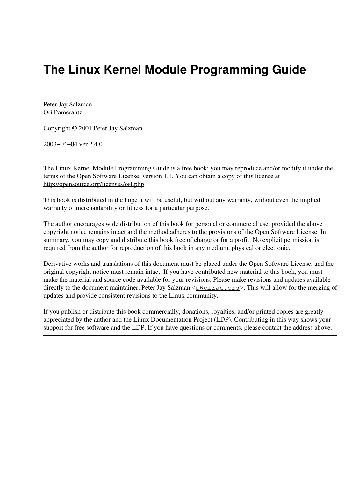Peter Jay Salzman Ori Pomerantz

Copyright © 2001 Peter Jay Salzman

2003–04–04 ver 2.4.0

The Linux Kernel Module Programming Guide is a free book; you may reproduce and/or modify it under the terms of the Open Software License, version 1.1. You can obtain a copy of this license at [http://opensource.org/licenses/osl.php.](http://opensource.org/licenses/osl.php)

This book is distributed in the hope it will be useful, but without any warranty, without even the implied warranty of merchantability or fitness for a particular purpose.

The author encourages wide distribution of this book for personal or commercial use, provided the above copyright notice remains intact and the method adheres to the provisions of the Open Software License. In summary, you may copy and distribute this book free of charge or for a profit. No explicit permission is required from the author for reproduction of this book in any medium, physical or electronic.

Derivative works and translations of this document must be placed under the Open Software License, and the original copyright notice must remain intact. If you have contributed new material to this book, you must make the material and source code available for your revisions. Please make revisions and updates available directly to the document maintainer, Peter Jay Salzman  $\leq_{\text{B}}$   $\leq_{\text{C}}$  org>. This will allow for the merging of updates and provide consistent revisions to the Linux community.

If you publish or distribute this book commercially, donations, royalties, and/or printed copies are greatly appreciated by the author and the [Linux Documentation Project](http://www.tldp.org) (LDP). Contributing in this way shows your support for free software and the LDP. If you have questions or comments, please contact the address above.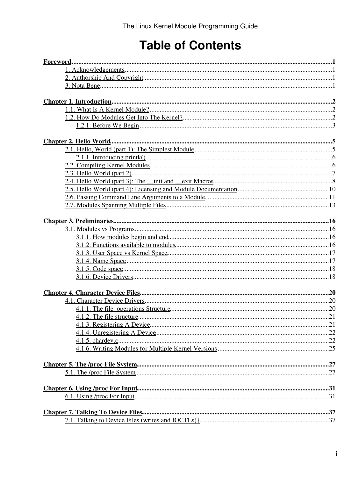## **Table of Contents**

| 4.1.5. chardev.c |  |
|------------------|--|
|                  |  |
|                  |  |
|                  |  |
|                  |  |
|                  |  |
|                  |  |
|                  |  |
|                  |  |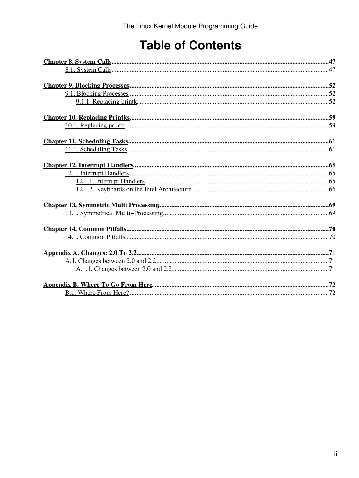## **Table of Contents**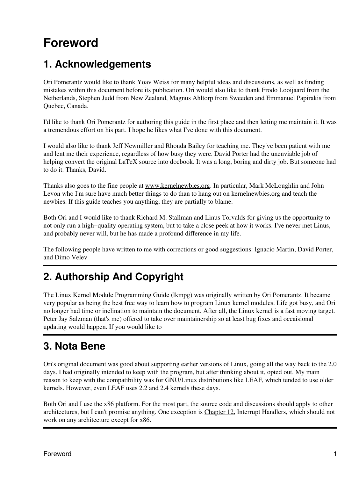# <span id="page-3-0"></span>**Foreword**

## <span id="page-3-1"></span>**1. Acknowledgements**

Ori Pomerantz would like to thank Yoav Weiss for many helpful ideas and discussions, as well as finding mistakes within this document before its publication. Ori would also like to thank Frodo Looijaard from the Netherlands, Stephen Judd from New Zealand, Magnus Ahltorp from Sweeden and Emmanuel Papirakis from Quebec, Canada.

I'd like to thank Ori Pomerantz for authoring this guide in the first place and then letting me maintain it. It was a tremendous effort on his part. I hope he likes what I've done with this document.

I would also like to thank Jeff Newmiller and Rhonda Bailey for teaching me. They've been patient with me and lent me their experience, regardless of how busy they were. David Porter had the unenviable job of helping convert the original LaTeX source into docbook. It was a long, boring and dirty job. But someone had to do it. Thanks, David.

Thanks also goes to the fine people at www.kernelnewbies.org. In particular, Mark McLoughlin and John Levon who I'm sure have much better things to do than to hang out on kernelnewbies.org and teach the newbies. If this guide teaches you anything, they are partially to blame.

Both Ori and I would like to thank Richard M. Stallman and Linus Torvalds for giving us the opportunity to not only run a high−quality operating system, but to take a close peek at how it works. I've never met Linus, and probably never will, but he has made a profound difference in my life.

The following people have written to me with corrections or good suggestions: Ignacio Martin, David Porter, and Dimo Velev

## <span id="page-3-2"></span>**2. Authorship And Copyright**

The Linux Kernel Module Programming Guide (lkmpg) was originally written by Ori Pomerantz. It became very popular as being the best free way to learn how to program Linux kernel modules. Life got busy, and Ori no longer had time or inclination to maintain the document. After all, the Linux kernel is a fast moving target. Peter Jay Salzman (that's me) offered to take over maintainership so at least bug fixes and occaisional updating would happen. If you would like to

## <span id="page-3-3"></span>**3. Nota Bene**

Ori's original document was good about supporting earlier versions of Linux, going all the way back to the 2.0 days. I had originally intended to keep with the program, but after thinking about it, opted out. My main reason to keep with the compatibility was for GNU/Linux distributions like LEAF, which tended to use older kernels. However, even LEAF uses 2.2 and 2.4 kernels these days.

Both Ori and I use the x86 platform. For the most part, the source code and discussions should apply to other architectures, but I can't promise anything. One exception is [Chapter 12](#page-67-0), Interrupt Handlers, which should not work on any architecture except for x86.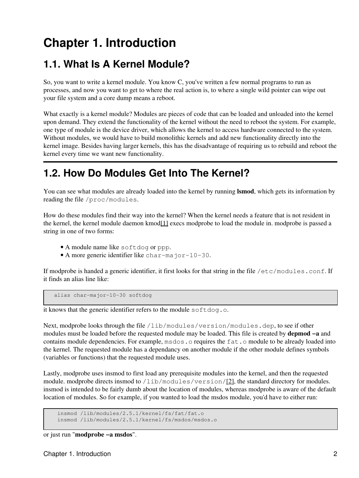# <span id="page-4-0"></span>**Chapter 1. Introduction**

## <span id="page-4-1"></span>**1.1. What Is A Kernel Module?**

So, you want to write a kernel module. You know C, you've written a few normal programs to run as processes, and now you want to get to where the real action is, to where a single wild pointer can wipe out your file system and a core dump means a reboot.

What exactly is a kernel module? Modules are pieces of code that can be loaded and unloaded into the kernel upon demand. They extend the functionality of the kernel without the need to reboot the system. For example, one type of module is the device driver, which allows the kernel to access hardware connected to the system. Without modules, we would have to build monolithic kernels and add new functionality directly into the kernel image. Besides having larger kernels, this has the disadvantage of requiring us to rebuild and reboot the kernel every time we want new functionality.

## <span id="page-4-2"></span>**1.2. How Do Modules Get Into The Kernel?**

You can see what modules are already loaded into the kernel by running **lsmod**, which gets its information by reading the file /proc/modules.

How do these modules find their way into the kernel? When the kernel needs a feature that is not resident in the kernel, the kernel module daemon kmod[1] execs modprobe to load the module in. modprobe is passed a string in one of two forms:

- A module name like softdog or ppp.
- A more generic identifier like char−major−10−30.

If modprobe is handed a generic identifier, it first looks for that string in the file  $/etc/$  modules.conf. If it finds an alias line like:

alias char−major−10−30 softdog

it knows that the generic identifier refers to the module softdog.o.

Next, modprobe looks through the file /lib/modules/version/modules.dep, to see if other modules must be loaded before the requested module may be loaded. This file is created by **depmod −a** and contains module dependencies. For example, msdos.o requires the fat.o module to be already loaded into the kernel. The requested module has a dependancy on another module if the other module defines symbols (variables or functions) that the requested module uses.

Lastly, modprobe uses insmod to first load any prerequisite modules into the kernel, and then the requested module. modprobe directs insmod to /lib/modules/version/[2], the standard directory for modules. insmod is intended to be fairly dumb about the location of modules, whereas modprobe is aware of the default location of modules. So for example, if you wanted to load the msdos module, you'd have to either run:

```
 insmod /lib/modules/2.5.1/kernel/fs/fat/fat.o
 insmod /lib/modules/2.5.1/kernel/fs/msdos/msdos.o
```
or just run "**modprobe −a msdos**".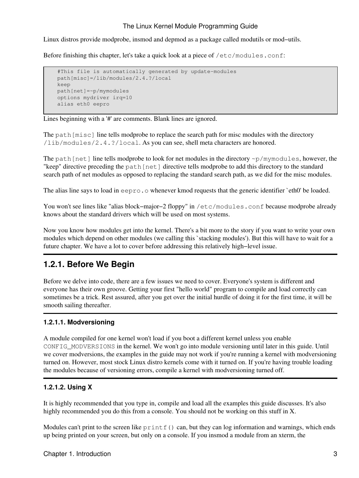Linux distros provide modprobe, insmod and depmod as a package called modutils or mod−utils.

Before finishing this chapter, let's take a quick look at a piece of  $/etc/modules$ .conf:

```
 #This file is automatically generated by update−modules
 path[misc]=/lib/modules/2.4.?/local
 keep
 path[net]=~p/mymodules
 options mydriver irq=10
 alias eth0 eepro
```
Lines beginning with a '#' are comments. Blank lines are ignored.

The path [misc] line tells modprobe to replace the search path for misc modules with the directory /lib/modules/2.4.?/local. As you can see, shell meta characters are honored.

The path [net] line tells modprobe to look for net modules in the directory  $\neg p/my$  modules, however, the "keep" directive preceding the path[net] directive tells modprobe to add this directory to the standard search path of net modules as opposed to replacing the standard search path, as we did for the misc modules.

The alias line says to load in  $eepro. \circ$  whenever kmod requests that the generic identifier `eth0' be loaded.

You won't see lines like "alias block−major−2 floppy" in /etc/modules.conf because modprobe already knows about the standard drivers which will be used on most systems.

Now you know how modules get into the kernel. There's a bit more to the story if you want to write your own modules which depend on other modules (we calling this `stacking modules'). But this will have to wait for a future chapter. We have a lot to cover before addressing this relatively high−level issue.

### <span id="page-5-0"></span>**1.2.1. Before We Begin**

Before we delve into code, there are a few issues we need to cover. Everyone's system is different and everyone has their own groove. Getting your first "hello world" program to compile and load correctly can sometimes be a trick. Rest assured, after you get over the initial hurdle of doing it for the first time, it will be smooth sailing thereafter.

### **1.2.1.1. Modversioning**

A module compiled for one kernel won't load if you boot a different kernel unless you enable CONFIG\_MODVERSIONS in the kernel. We won't go into module versioning until later in this guide. Until we cover modversions, the examples in the guide may not work if you're running a kernel with modversioning turned on. However, most stock Linux distro kernels come with it turned on. If you're having trouble loading the modules because of versioning errors, compile a kernel with modversioning turned off.

### **1.2.1.2. Using X**

It is highly recommended that you type in, compile and load all the examples this guide discusses. It's also highly recommended you do this from a console. You should not be working on this stuff in X.

Modules can't print to the screen like  $\text{print} f()$  can, but they can log information and warnings, which ends up being printed on your screen, but only on a console. If you insmod a module from an xterm, the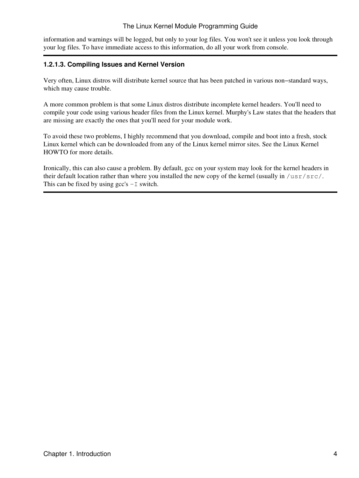information and warnings will be logged, but only to your log files. You won't see it unless you look through your log files. To have immediate access to this information, do all your work from console.

### **1.2.1.3. Compiling Issues and Kernel Version**

Very often, Linux distros will distribute kernel source that has been patched in various non−standard ways, which may cause trouble.

A more common problem is that some Linux distros distribute incomplete kernel headers. You'll need to compile your code using various header files from the Linux kernel. Murphy's Law states that the headers that are missing are exactly the ones that you'll need for your module work.

To avoid these two problems, I highly recommend that you download, compile and boot into a fresh, stock Linux kernel which can be downloaded from any of the Linux kernel mirror sites. See the Linux Kernel HOWTO for more details.

Ironically, this can also cause a problem. By default, gcc on your system may look for the kernel headers in their default location rather than where you installed the new copy of the kernel (usually in /usr/src/. This can be fixed by using gcc's −I switch.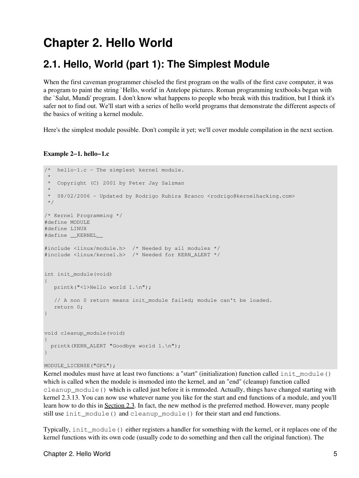## <span id="page-7-0"></span>**Chapter 2. Hello World**

## <span id="page-7-1"></span>**2.1. Hello, World (part 1): The Simplest Module**

When the first caveman programmer chiseled the first program on the walls of the first cave computer, it was a program to paint the string `Hello, world' in Antelope pictures. Roman programming textbooks began with the `Salut, Mundi' program. I don't know what happens to people who break with this tradition, but I think it's safer not to find out. We'll start with a series of hello world programs that demonstrate the different aspects of the basics of writing a kernel module.

Here's the simplest module possible. Don't compile it yet; we'll cover module compilation in the next section.

#### **Example 2−1. hello−1.c**

```
/* hello−1.c − The simplest kernel module.
  *
   Copyright (C) 2001 by Peter Jay Salzman
 *
  * 08/02/2006 − Updated by Rodrigo Rubira Branco <rodrigo@kernelhacking.com>
  */
/* Kernel Programming */
#define MODULE
#define LINUX
#define __KERNEL__
#include <linux/module.h> /* Needed by all modules */
#include <linux/kernel.h> /* Needed for KERN_ALERT */
int init_module(void)
{
    printk("<1>Hello world 1.\n");
    // A non 0 return means init_module failed; module can't be loaded.
    return 0;
}
void cleanup_module(void)
{
   printk(KERN_ALERT "Goodbye world 1.\n");
} 
MODULE_LICENSE("GPL");
```
Kernel modules must have at least two functions: a "start" (initialization) function called init\_module() which is called when the module is insmoded into the kernel, and an "end" (cleanup) function called cleanup\_module() which is called just before it is rmmoded. Actually, things have changed starting with kernel 2.3.13. You can now use whatever name you like for the start and end functions of a module, and you'll learn how to do this in [Section 2.3.](#page-9-0) In fact, the new method is the preferred method. However, many people still use init\_module() and cleanup\_module() for their start and end functions.

Typically, init\_module() either registers a handler for something with the kernel, or it replaces one of the kernel functions with its own code (usually code to do something and then call the original function). The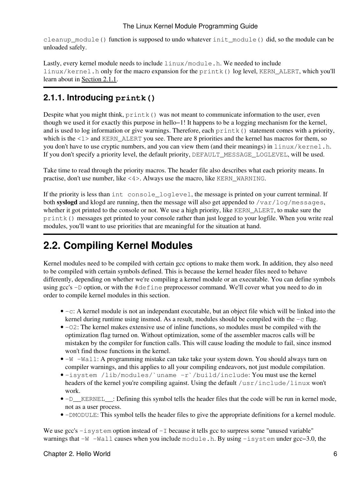cleanup\_module() function is supposed to undo whatever init\_module() did, so the module can be unloaded safely.

Lastly, every kernel module needs to include linux/module.h. We needed to include linux/kernel.h only for the macro expansion for the printk() log level, KERN\_ALERT, which you'll learn about in [Section 2.1.1.](#page-8-0)

### <span id="page-8-0"></span>**2.1.1. Introducing printk()**

Despite what you might think,  $print(k)$  was not meant to communicate information to the user, even though we used it for exactly this purpose in hello−1! It happens to be a logging mechanism for the kernel, and is used to log information or give warnings. Therefore, each  $print(k)$  statement comes with a priority, which is the  $\leq 1$  and KERN\_ALERT you see. There are 8 priorities and the kernel has macros for them, so you don't have to use cryptic numbers, and you can view them (and their meanings) in linux/kernel.h. If you don't specify a priority level, the default priority, DEFAULT\_MESSAGE\_LOGLEVEL, will be used.

Take time to read through the priority macros. The header file also describes what each priority means. In practise, don't use number, like <4>. Always use the macro, like KERN\_WARNING.

If the priority is less than int console loglevel, the message is printed on your current terminal. If both **syslogd** and klogd are running, then the message will also get appended to /var/log/messages, whether it got printed to the console or not. We use a high priority, like KERN ALERT, to make sure the printk() messages get printed to your console rather than just logged to your logfile. When you write real modules, you'll want to use priorities that are meaningful for the situation at hand.

## <span id="page-8-1"></span>**2.2. Compiling Kernel Modules**

Kernel modules need to be compiled with certain gcc options to make them work. In addition, they also need to be compiled with certain symbols defined. This is because the kernel header files need to behave differently, depending on whether we're compiling a kernel module or an executable. You can define symbols using gcc's −D option, or with the #define preprocessor command. We'll cover what you need to do in order to compile kernel modules in this section.

- −c: A kernel module is not an independant executable, but an object file which will be linked into the kernel during runtime using insmod. As a result, modules should be compiled with the −c flag.
- −O2: The kernel makes extensive use of inline functions, so modules must be compiled with the optimization flag turned on. Without optimization, some of the assembler macros calls will be mistaken by the compiler for function calls. This will cause loading the module to fail, since insmod won't find those functions in the kernel.
- -W -Wall: A programming mistake can take take your system down. You should always turn on compiler warnings, and this applies to all your compiling endeavors, not just module compilation.
- -isystem /lib/modules/`uname -r`/build/include: You must use the kernel headers of the kernel you're compiling against. Using the default /usr/include/linux won't work.
- -D\_\_KERNEL\_: Defining this symbol tells the header files that the code will be run in kernel mode, not as a user process.
- −DMODULE: This symbol tells the header files to give the appropriate definitions for a kernel module.

We use gcc's −isystem option instead of −I because it tells gcc to surpress some "unused variable" warnings that −W −Wall causes when you include module.h. By using −isystem under gcc−3.0, the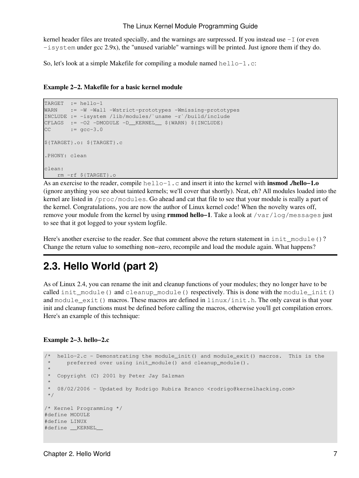kernel header files are treated specially, and the warnings are surpressed. If you instead use −I (or even −isystem under gcc 2.9x), the "unused variable" warnings will be printed. Just ignore them if they do.

So, let's look at a simple Makefile for compiling a module named hello−1.c:

**Example 2−2. Makefile for a basic kernel module**

```
TARGET := hello−1
WARN := −W −Wall −Wstrict−prototypes −Wmissing−prototypes
INCLUDE := −isystem /lib/modules/`uname −r`/build/include
CFLAGS := −O2 −DMODULE −D__KERNEL__ ${WARN} ${INCLUDE}
CC := gcc-3.0${TARGET}.o: ${TARGET}.c
.PHONY: clean
clean:
    rm −rf ${TARGET}.o
```
As an exercise to the reader, compile hello−1.c and insert it into the kernel with **insmod ./hello−1.o** (ignore anything you see about tainted kernels; we'll cover that shortly). Neat, eh? All modules loaded into the kernel are listed in /proc/modules. Go ahead and cat that file to see that your module is really a part of the kernel. Congratulations, you are now the author of Linux kernel code! When the novelty wares off, remove your module from the kernel by using **rmmod hello−1**. Take a look at /var/log/messages just to see that it got logged to your system logfile.

Here's another exercise to the reader. See that comment above the return statement in init\_module()? Change the return value to something non−zero, recompile and load the module again. What happens?

## <span id="page-9-0"></span>**2.3. Hello World (part 2)**

As of Linux 2.4, you can rename the init and cleanup functions of your modules; they no longer have to be called init\_module() and cleanup\_module() respectively. This is done with the module\_init() and module  $ext{exit}$  macros. These macros are defined in linux/init.h. The only caveat is that your init and cleanup functions must be defined before calling the macros, otherwise you'll get compilation errors. Here's an example of this technique:

### **Example 2−3. hello−2.c**

```
hello-2.c − Demonstrating the module_init() and module_exit() macros. This is the
 * preferred over using init_module() and cleanup_module().
 *
 * Copyright (C) 2001 by Peter Jay Salzman
 *
 * 08/02/2006 − Updated by Rodrigo Rubira Branco <rodrigo@kernelhacking.com>
 */
/* Kernel Programming */
#define MODULE
#define LINUX
#define __KERNEL__
```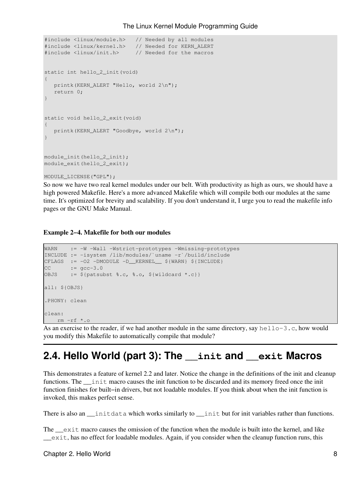```
#include <linux/module.h> // Needed by all modules
#include <linux/kernel.h> // Needed for KERN_ALERT
#include <linux/init.h> // Needed for the macros
static int hello_2_init(void)
{
    printk(KERN_ALERT "Hello, world 2\n");
    return 0;
}
static void hello_2_exit(void)
{
   printk(KERN_ALERT "Goodbye, world 2\n");
}
module_init(hello_2_init);
module_exit(hello_2_exit);
```

```
MODULE_LICENSE("GPL");
```
So now we have two real kernel modules under our belt. With productivity as high as ours, we should have a high powered Makefile. Here's a more advanced Makefile which will compile both our modules at the same time. It's optimized for brevity and scalability. If you don't understand it, I urge you to read the makefile info pages or the GNU Make Manual.

#### **Example 2−4. Makefile for both our modules**

```
WARN := −W −Wall −Wstrict−prototypes −Wmissing−prototypes
INCLUDE := −isystem /lib/modules/`uname −r`/build/include
CFLAGS := −O2 −DMODULE −D__KERNEL__ ${WARN} ${INCLUDE}
CC := acc-3.0OBJS := ${paths: 8.c, 8.o, 5{wildcard *.c.}all: ${OBJS}
.PHONY: clean
clean:
    rm −rf *.o
```
As an exercise to the reader, if we had another module in the same directory, say hello−3.c, how would you modify this Makefile to automatically compile that module?

## <span id="page-10-0"></span>**2.4. Hello World (part 3): The \_\_init and \_\_exit Macros**

This demonstrates a feature of kernel 2.2 and later. Notice the change in the definitions of the init and cleanup functions. The *\_\_init macro causes the init function to be discarded and its memory freed once the init* function finishes for built−in drivers, but not loadable modules. If you think about when the init function is invoked, this makes perfect sense.

There is also an *\_\_initdata* which works similarly to *\_\_init but for init variables rather than functions.* 

The \_\_exit macro causes the omission of the function when the module is built into the kernel, and like \_\_exit, has no effect for loadable modules. Again, if you consider when the cleanup function runs, this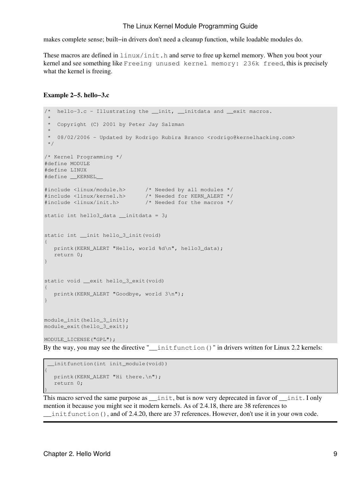makes complete sense; built−in drivers don't need a cleanup function, while loadable modules do.

These macros are defined in  $\lim_{x \to \infty}$  init. h and serve to free up kernel memory. When you boot your kernel and see something like Freeing unused kernel memory: 236k freed, this is precisely what the kernel is freeing.

### **Example 2−5. hello−3.c**

```
/* hello−3.c − Illustrating the __init, __initdata and __exit macros.
 *
  * Copyright (C) 2001 by Peter Jay Salzman
 *
  * 08/02/2006 − Updated by Rodrigo Rubira Branco <rodrigo@kernelhacking.com>
  */
/* Kernel Programming */
#define MODULE
#define LINUX
#define __KERNEL__
#include <linux/module.h> /* Needed by all modules */
#include <linux/kernel.h> /* Needed for KERN_ALERT */
#include <linux/init.h> /* Needed for the macros */
static int hello3_data __initdata = 3;
static int __init hello_3_init(void)
{
   printk(KERN_ALERT "Hello, world %d\n", hello3_data);
   return 0;
}
static void __exit hello_3_exit(void)
{
   printk(KERN_ALERT "Goodbye, world 3\n");
}
module_init(hello_3_init);
module_exit(hello_3_exit);
MODULE_LICENSE("GPL");
```
By the way, you may see the directive "*\_\_initfunction()*" in drivers written for Linux 2.2 kernels:

```
 __initfunction(int init_module(void))
{
  printk(KERN_ALERT "Hi there.\n");
   return 0;
}
```
This macro served the same purpose as *\_\_init*, but is now very deprecated in favor of *\_\_init*. I only mention it because you might see it modern kernels. As of 2.4.18, there are 38 references to \_\_initfunction(), and of 2.4.20, there are 37 references. However, don't use it in your own code.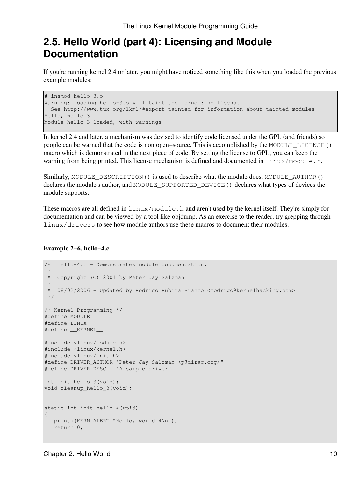## <span id="page-12-0"></span>**2.5. Hello World (part 4): Licensing and Module Documentation**

If you're running kernel 2.4 or later, you might have noticed something like this when you loaded the previous example modules:

```
# insmod hello−3.o
Warning: loading hello−3.o will taint the kernel: no license
  See http://www.tux.org/lkml/#export−tainted for information about tainted modules
Hello, world 3
Module hello−3 loaded, with warnings
```
In kernel 2.4 and later, a mechanism was devised to identify code licensed under the GPL (and friends) so people can be warned that the code is non open−source. This is accomplished by the MODULE\_LICENSE() macro which is demonstrated in the next piece of code. By setting the license to GPL, you can keep the warning from being printed. This license mechanism is defined and documented in  $\lim_{x \to a} x / \text{module}$ .h.

Similarly, MODULE DESCRIPTION() is used to describe what the module does, MODULE AUTHOR() declares the module's author, and MODULE\_SUPPORTED\_DEVICE() declares what types of devices the module supports.

These macros are all defined in linux/module.h and aren't used by the kernel itself. They're simply for documentation and can be viewed by a tool like objdump. As an exercise to the reader, try grepping through linux/drivers to see how module authors use these macros to document their modules.

### **Example 2−6. hello−4.c**

```
/* hello−4.c − Demonstrates module documentation.
  *
  * Copyright (C) 2001 by Peter Jay Salzman
 *
  * 08/02/2006 − Updated by Rodrigo Rubira Branco <rodrigo@kernelhacking.com>
  */
/* Kernel Programming */
#define MODULE
#define LINUX
#define __KERNEL__
#include <linux/module.h>
#include <linux/kernel.h>
#include <linux/init.h>
#define DRIVER_AUTHOR "Peter Jay Salzman <p@dirac.org>"
#define DRIVER_DESC "A sample driver"
int init_hello_3(void);
void cleanup_hello_3(void);
static int init_hello_4(void)
{
   printk(KERN_ALERT "Hello, world 4\n");
    return 0;
}
```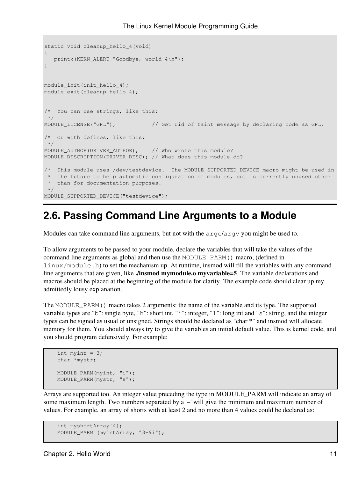```
static void cleanup_hello_4(void)
{
   printk(KERN ALERT "Goodbye, world 4\n");
}
module_init(init_hello_4);
module_exit(cleanup_hello_4);
/* You can use strings, like this:
 */
MODULE LICENSE("GPL"); \frac{1}{2} Get rid of taint message by declaring code as GPL.
/* Or with defines, like this:
\star /
MODULE_AUTHOR(DRIVER_AUTHOR); // Who wrote this module?
MODULE DESCRIPTION(DRIVER_DESC); // What does this module do?
/* This module uses /dev/testdevice. The MODULE_SUPPORTED_DEVICE macro might be used in
 * the future to help automatic configuration of modules, but is currently unused other
  * than for documentation purposes.
 */
MODULE_SUPPORTED_DEVICE("testdevice");
```
## <span id="page-13-0"></span>**2.6. Passing Command Line Arguments to a Module**

Modules can take command line arguments, but not with the argc/argv you might be used to.

To allow arguments to be passed to your module, declare the variables that will take the values of the command line arguments as global and then use the MODULE\_PARM() macro, (defined in linux/module.h) to set the mechanism up. At runtime, insmod will fill the variables with any command line arguments that are given, like **./insmod mymodule.o myvariable=5**. The variable declarations and macros should be placed at the beginning of the module for clarity. The example code should clear up my admittedly lousy explanation.

The MODULE\_PARM() macro takes 2 arguments: the name of the variable and its type. The supported variable types are "b": single byte, "h": short int, "i": integer, "l": long int and "s": string, and the integer types can be signed as usual or unsigned. Strings should be declared as "char \*" and insmod will allocate memory for them. You should always try to give the variables an initial default value. This is kernel code, and you should program defensively. For example:

```
int myint = 3;
 char *mystr;
MODULE PARM(myint, "i");
 MODULE_PARM(mystr, "s");
```
Arrays are supported too. An integer value preceding the type in MODULE\_PARM will indicate an array of some maximum length. Two numbers separated by a '−' will give the minimum and maximum number of values. For example, an array of shorts with at least 2 and no more than 4 values could be declared as:

```
 int myshortArray[4];
 MODULE_PARM (myintArray, "3−9i");
```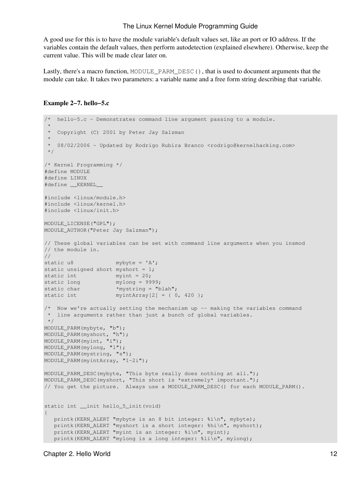A good use for this is to have the module variable's default values set, like an port or IO address. If the variables contain the default values, then perform autodetection (explained elsewhere). Otherwise, keep the current value. This will be made clear later on.

Lastly, there's a macro function, MODULE PARM DESC(), that is used to document arguments that the module can take. It takes two parameters: a variable name and a free form string describing that variable.

#### **Example 2−7. hello−5.c**

```
/* hello−5.c − Demonstrates command line argument passing to a module.
  *
  * Copyright (C) 2001 by Peter Jay Salzman
  *
  * 08/02/2006 − Updated by Rodrigo Rubira Branco <rodrigo@kernelhacking.com>
  */
/* Kernel Programming */
#define MODULE
#define LINUX
#define __KERNEL__
#include <linux/module.h>
#include <linux/kernel.h>
#include <linux/init.h>
MODULE_LICENSE("GPL");
MODULE_AUTHOR("Peter Jay Salzman");
// These global variables can be set with command line arguments when you insmod
// the module in. 
//
static u8 mybyte = 'A';
static unsigned short myshort = 1;
static int myint = 20;
static long mylong = 9999;
static char *mystring = "blah";
static int myintArray[2] = \{ 0, 420 \};
/* Now we're actually setting the mechanism up −− making the variables command
 * line arguments rather than just a bunch of global variables.
 */
MODULE_PARM(mybyte, "b");
MODULE_PARM(myshort, "h");
MODULE_PARM(myint, "i");
MODULE_PARM(mylong, "l");
MODULE_PARM(mystring, "s");
MODULE_PARM(myintArray, "1−2i");
MODULE_PARM_DESC(mybyte, "This byte really does nothing at all.");
MODULE_PARM_DESC(myshort, "This short is *extremely* important.");
// You get the picture. Always use a MODULE_PARM_DESC() for each MODULE_PARM().
static int __init hello_5_init(void)
{
   printk(KERN_ALERT "mybyte is an 8 bit integer: %i\n", mybyte);
  printk(KERN_ALERT "myshort is a short integer: %hi\n", myshort);
    printk(KERN_ALERT "myint is an integer: %i\n", myint);
   printk(KERN_ALERT "mylong is a long integer: %li\n", mylong);
```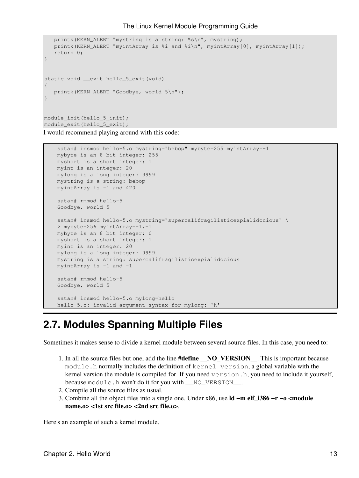```
 printk(KERN_ALERT "mystring is a string: %s\n", mystring);
   printk(KERN_ALERT "myintArray is %i and %i\n", myintArray[0], myintArray[1]);
    return 0;
}
static void __exit hello_5_exit(void)
{
    printk(KERN_ALERT "Goodbye, world 5\n");
}
module_init(hello_5_init);
module_exit(hello_5_exit);
```
I would recommend playing around with this code:

```
 satan# insmod hello−5.o mystring="bebop" mybyte=255 myintArray=−1
 mybyte is an 8 bit integer: 255
 myshort is a short integer: 1
 myint is an integer: 20
 mylong is a long integer: 9999
 mystring is a string: bebop
 myintArray is −1 and 420
 satan# rmmod hello−5
 Goodbye, world 5
 satan# insmod hello−5.o mystring="supercalifragilisticexpialidocious" \
 > mybyte=256 myintArray=−1,−1
 mybyte is an 8 bit integer: 0
 myshort is a short integer: 1
 myint is an integer: 20
 mylong is a long integer: 9999
 mystring is a string: supercalifragilisticexpialidocious
 myintArray is −1 and −1
 satan# rmmod hello−5
 Goodbye, world 5
 satan# insmod hello−5.o mylong=hello
 hello−5.o: invalid argument syntax for mylong: 'h'
```
## <span id="page-15-0"></span>**2.7. Modules Spanning Multiple Files**

Sometimes it makes sense to divide a kernel module between several source files. In this case, you need to:

- 1. In all the source files but one, add the line **#define \_NO\_VERSION\_**. This is important because module.h normally includes the definition of kernel\_version, a global variable with the kernel version the module is compiled for. If you need version.h, you need to include it yourself, because module.h won't do it for you with \_\_NO\_VERSION\_\_.
- 2. Compile all the source files as usual.
- Combine all the object files into a single one. Under x86, use **ld −m elf\_i386 −r −o <module** 3. **name.o> <1st src file.o> <2nd src file.o>**.

Here's an example of such a kernel module.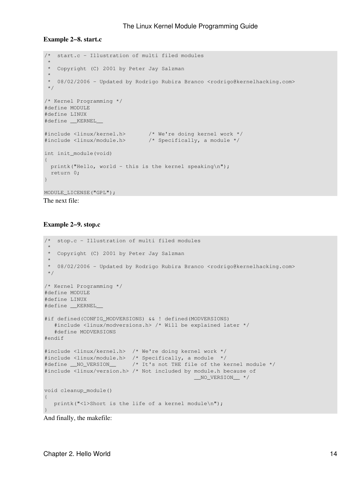#### **Example 2−8. start.c**

```
/* start.c − Illustration of multi filed modules
  *
  * Copyright (C) 2001 by Peter Jay Salzman
 *
  * 08/02/2006 − Updated by Rodrigo Rubira Branco <rodrigo@kernelhacking.com>
  */
/* Kernel Programming */
#define MODULE
#define LINUX
#define __KERNEL__
#include <linux/kernel.h> /* We're doing kernel work */
#include <linux/module.h> /* Specifically, a module */
int init_module(void)
{
  printk("Hello, world − this is the kernel speaking\n");
   return 0;
}
MODULE_LICENSE("GPL");
The next file:
```
**Example 2−9. stop.c**

```
/* stop.c − Illustration of multi filed modules
 *
  * Copyright (C) 2001 by Peter Jay Salzman
 *
  * 08/02/2006 − Updated by Rodrigo Rubira Branco <rodrigo@kernelhacking.com>
 */
/* Kernel Programming */
#define MODULE
#define LINUX
#define __KERNEL__
#if defined(CONFIG_MODVERSIONS) && ! defined(MODVERSIONS)
   #include <linux/modversions.h> /* Will be explained later */
    #define MODVERSIONS
#endif 
#include <linux/kernel.h> /* We're doing kernel work */
#include <linux/module.h> /* Specifically, a module */
#define __NO_VERSION__ /* It's not THE file of the kernel module */
#include <linux/version.h> /* Not included by module.h because of
                                               __NO_VERSION__ */
void cleanup_module()
{
    printk("<1>Short is the life of a kernel module\n");
}
```
And finally, the makefile: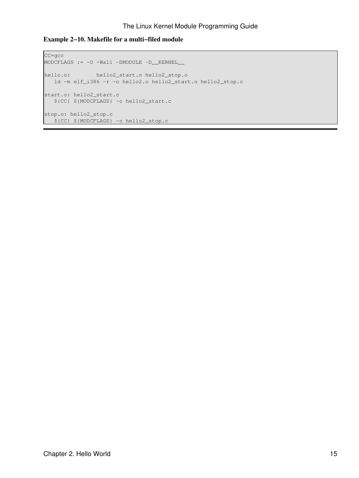### **Example 2−10. Makefile for a multi−filed module**

```
CC=gcc
MODCFLAGS := −O −Wall −DMODULE −D__KERNEL__
hello.o: hello2_start.o hello2_stop.o
   ld −m elf_i386 −r −o hello2.o hello2_start.o hello2_stop.o
start.o: hello2_start.c
   ${CC} ${MODCFLAGS} −c hello2_start.c
stop.o: hello2_stop.c
  ${CC} ${MODCFLAGS} −c hello2_stop.c
```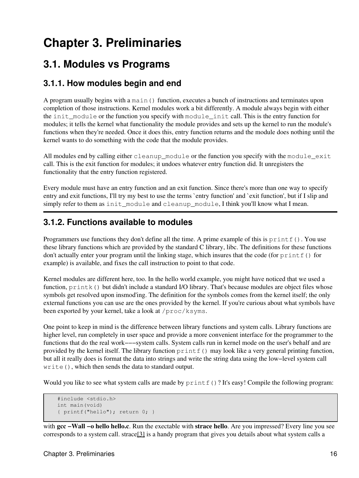## <span id="page-18-0"></span>**Chapter 3. Preliminaries**

## <span id="page-18-1"></span>**3.1. Modules vs Programs**

### <span id="page-18-2"></span>**3.1.1. How modules begin and end**

A program usually begins with a main() function, executes a bunch of instructions and terminates upon completion of those instructions. Kernel modules work a bit differently. A module always begin with either the init\_module or the function you specify with module\_init call. This is the entry function for modules; it tells the kernel what functionality the module provides and sets up the kernel to run the module's functions when they're needed. Once it does this, entry function returns and the module does nothing until the kernel wants to do something with the code that the module provides.

All modules end by calling either cleanup\_module or the function you specify with the module\_exit call. This is the exit function for modules; it undoes whatever entry function did. It unregisters the functionality that the entry function registered.

Every module must have an entry function and an exit function. Since there's more than one way to specify entry and exit functions, I'll try my best to use the terms `entry function' and `exit function', but if I slip and simply refer to them as init module and cleanup module, I think you'll know what I mean.

### <span id="page-18-3"></span>**3.1.2. Functions available to modules**

Programmers use functions they don't define all the time. A prime example of this is  $print f()$ . You use these library functions which are provided by the standard C library, libc. The definitions for these functions don't actually enter your program until the linking stage, which insures that the code (for  $print f()$  for example) is available, and fixes the call instruction to point to that code.

Kernel modules are different here, too. In the hello world example, you might have noticed that we used a function, printk() but didn't include a standard I/O library. That's because modules are object files whose symbols get resolved upon insmod'ing. The definition for the symbols comes from the kernel itself; the only external functions you can use are the ones provided by the kernel. If you're curious about what symbols have been exported by your kernel, take a look at /proc/ksyms.

One point to keep in mind is the difference between library functions and system calls. Library functions are higher level, run completely in user space and provide a more convenient interface for the programmer to the functions that do the real work−−−system calls. System calls run in kernel mode on the user's behalf and are provided by the kernel itself. The library function  $\text{print} f()$  may look like a very general printing function, but all it really does is format the data into strings and write the string data using the low−level system call write(), which then sends the data to standard output.

Would you like to see what system calls are made by  $\text{print} f()$ ? It's easy! Compile the following program:

```
 #include <stdio.h>
 int main(void)
 { printf("hello"); return 0; }
```
with **gcc −Wall −o hello hello.c**. Run the exectable with **strace hello**. Are you impressed? Every line you see corresponds to a system call. strace  $[3]$  is a handy program that gives you details about what system calls a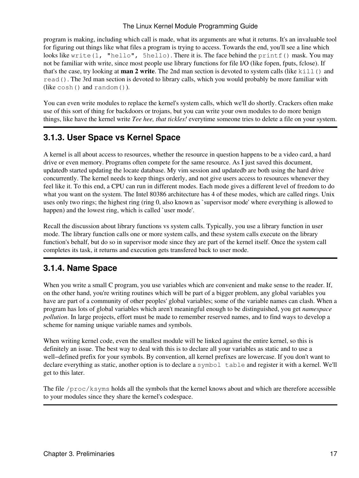program is making, including which call is made, what its arguments are what it returns. It's an invaluable tool for figuring out things like what files a program is trying to access. Towards the end, you'll see a line which looks like write(1, "hello", 5hello). There it is. The face behind the printf() mask. You may not be familiar with write, since most people use library functions for file I/O (like fopen, fputs, fclose). If that's the case, try looking at **man 2 write**. The 2nd man section is devoted to system calls (like kill() and read(). The 3rd man section is devoted to library calls, which you would probably be more familiar with (like cosh() and random()).

You can even write modules to replace the kernel's system calls, which we'll do shortly. Crackers often make use of this sort of thing for backdoors or trojans, but you can write your own modules to do more benign things, like have the kernel write *Tee hee, that tickles!* everytime someone tries to delete a file on your system.

## <span id="page-19-0"></span>**3.1.3. User Space vs Kernel Space**

A kernel is all about access to resources, whether the resource in question happens to be a video card, a hard drive or even memory. Programs often compete for the same resource. As I just saved this document, updatedb started updating the locate database. My vim session and updatedb are both using the hard drive concurrently. The kernel needs to keep things orderly, and not give users access to resources whenever they feel like it. To this end, a CPU can run in different modes. Each mode gives a different level of freedom to do what you want on the system. The Intel 80386 architecture has 4 of these modes, which are called rings. Unix uses only two rings; the highest ring (ring 0, also known as `supervisor mode' where everything is allowed to happen) and the lowest ring, which is called `user mode'.

Recall the discussion about library functions vs system calls. Typically, you use a library function in user mode. The library function calls one or more system calls, and these system calls execute on the library function's behalf, but do so in supervisor mode since they are part of the kernel itself. Once the system call completes its task, it returns and execution gets transfered back to user mode.

## <span id="page-19-1"></span>**3.1.4. Name Space**

When you write a small C program, you use variables which are convenient and make sense to the reader. If, on the other hand, you're writing routines which will be part of a bigger problem, any global variables you have are part of a community of other peoples' global variables; some of the variable names can clash. When a program has lots of global variables which aren't meaningful enough to be distinguished, you get *namespace pollution*. In large projects, effort must be made to remember reserved names, and to find ways to develop a scheme for naming unique variable names and symbols.

When writing kernel code, even the smallest module will be linked against the entire kernel, so this is definitely an issue. The best way to deal with this is to declare all your variables as static and to use a well−defined prefix for your symbols. By convention, all kernel prefixes are lowercase. If you don't want to declare everything as static, another option is to declare a symbol table and register it with a kernel. We'll get to this later.

The file /proc/ksyms holds all the symbols that the kernel knows about and which are therefore accessible to your modules since they share the kernel's codespace.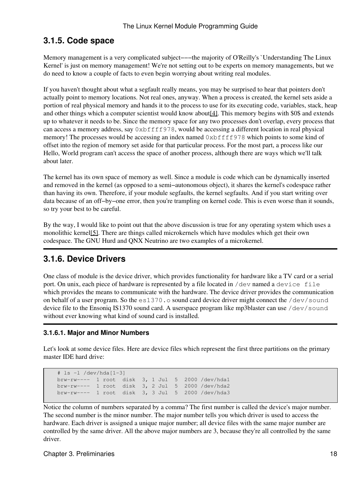## <span id="page-20-0"></span>**3.1.5. Code space**

Memory management is a very complicated subject––−the majority of O'Reilly's `Understanding The Linux Kernel' is just on memory management! We're not setting out to be experts on memory managements, but we do need to know a couple of facts to even begin worrying about writing real modules.

If you haven't thought about what a segfault really means, you may be surprised to hear that pointers don't actually point to memory locations. Not real ones, anyway. When a process is created, the kernel sets aside a portion of real physical memory and hands it to the process to use for its executing code, variables, stack, heap and other things which a computer scientist would know about[4]. This memory begins with \$0\$ and extends up to whatever it needs to be. Since the memory space for any two processes don't overlap, every process that can access a memory address, say 0xbffff978, would be accessing a different location in real physical memory! The processes would be accessing an index named  $0 \times b$  ffff978 which points to some kind of offset into the region of memory set aside for that particular process. For the most part, a process like our Hello, World program can't access the space of another process, although there are ways which we'll talk about later.

The kernel has its own space of memory as well. Since a module is code which can be dynamically inserted and removed in the kernel (as opposed to a semi−autonomous object), it shares the kernel's codespace rather than having its own. Therefore, if your module segfaults, the kernel segfaults. And if you start writing over data because of an off−by−one error, then you're trampling on kernel code. This is even worse than it sounds, so try your best to be careful.

By the way, I would like to point out that the above discussion is true for any operating system which uses a monolithic kernel[5]. There are things called microkernels which have modules which get their own codespace. The GNU Hurd and QNX Neutrino are two examples of a microkernel.

### <span id="page-20-1"></span>**3.1.6. Device Drivers**

One class of module is the device driver, which provides functionality for hardware like a TV card or a serial port. On unix, each piece of hardware is represented by a file located in /dev named a device file which provides the means to communicate with the hardware. The device driver provides the communication on behalf of a user program. So the  $\epsilon$  s1370.0 sound card device driver might connect the /dev/sound device file to the Ensoniq IS1370 sound card. A userspace program like mp3blaster can use /dev/sound without ever knowing what kind of sound card is installed.

### **3.1.6.1. Major and Minor Numbers**

Let's look at some device files. Here are device files which represent the first three partitions on the primary master IDE hard drive:

```
 # ls −l /dev/hda[1−3]
 brw−rw−−−− 1 root disk 3, 1 Jul 5 2000 /dev/hda1
 brw−rw−−−− 1 root disk 3, 2 Jul 5 2000 /dev/hda2
 brw−rw−−−− 1 root disk 3, 3 Jul 5 2000 /dev/hda3
```
Notice the column of numbers separated by a comma? The first number is called the device's major number. The second number is the minor number. The major number tells you which driver is used to access the hardware. Each driver is assigned a unique major number; all device files with the same major number are controlled by the same driver. All the above major numbers are 3, because they're all controlled by the same driver.

Chapter 3. Preliminaries 18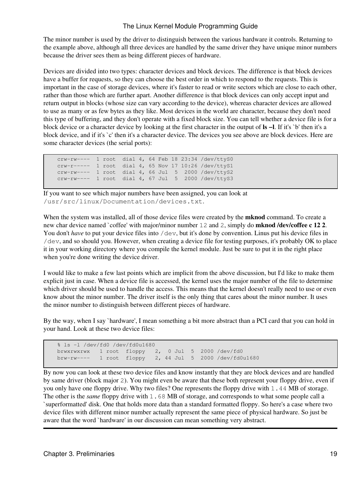The minor number is used by the driver to distinguish between the various hardware it controls. Returning to the example above, although all three devices are handled by the same driver they have unique minor numbers because the driver sees them as being different pieces of hardware.

Devices are divided into two types: character devices and block devices. The difference is that block devices have a buffer for requests, so they can choose the best order in which to respond to the requests. This is important in the case of storage devices, where it's faster to read or write sectors which are close to each other, rather than those which are further apart. Another difference is that block devices can only accept input and return output in blocks (whose size can vary according to the device), whereas character devices are allowed to use as many or as few bytes as they like. Most devices in the world are character, because they don't need this type of buffering, and they don't operate with a fixed block size. You can tell whether a device file is for a block device or a character device by looking at the first character in the output of **ls −l**. If it's `b' then it's a block device, and if it's `c' then it's a character device. The devices you see above are block devices. Here are some character devices (the serial ports):

 crw−rw−−−− 1 root dial 4, 64 Feb 18 23:34 /dev/ttyS0 crw−r−−−−− 1 root dial 4, 65 Nov 17 10:26 /dev/ttyS1 crw−rw−−−− 1 root dial 4, 66 Jul 5 2000 /dev/ttyS2 crw−rw−−−− 1 root dial 4, 67 Jul 5 2000 /dev/ttyS3

If you want to see which major numbers have been assigned, you can look at /usr/src/linux/Documentation/devices.txt.

When the system was installed, all of those device files were created by the **mknod** command. To create a new char device named `coffee' with major/minor number 12 and 2, simply do **mknod /dev/coffee c 12 2**. You don't *have* to put your device files into /dev, but it's done by convention. Linus put his device files in /dev, and so should you. However, when creating a device file for testing purposes, it's probably OK to place it in your working directory where you compile the kernel module. Just be sure to put it in the right place when you're done writing the device driver.

I would like to make a few last points which are implicit from the above discussion, but I'd like to make them explicit just in case. When a device file is accessed, the kernel uses the major number of the file to determine which driver should be used to handle the access. This means that the kernel doesn't really need to use or even know about the minor number. The driver itself is the only thing that cares about the minor number. It uses the minor number to distinguish between different pieces of hardware.

By the way, when I say `hardware', I mean something a bit more abstract than a PCI card that you can hold in your hand. Look at these two device files:

```
 % ls −l /dev/fd0 /dev/fd0u1680
 brwxrwxrwx 1 root floppy 2, 0 Jul 5 2000 /dev/fd0
 brw−rw−−−− 1 root floppy 2, 44 Jul 5 2000 /dev/fd0u1680
```
By now you can look at these two device files and know instantly that they are block devices and are handled by same driver (block major 2). You might even be aware that these both represent your floppy drive, even if you only have one floppy drive. Why two files? One represents the floppy drive with 1.44 MB of storage. The other is the *same* floppy drive with 1.68 MB of storage, and corresponds to what some people call a `superformatted' disk. One that holds more data than a standard formatted floppy. So here's a case where two device files with different minor number actually represent the same piece of physical hardware. So just be aware that the word `hardware' in our discussion can mean something very abstract.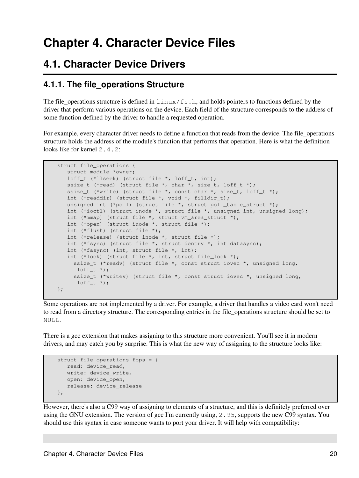## <span id="page-22-0"></span>**Chapter 4. Character Device Files**

## <span id="page-22-1"></span>**4.1. Character Device Drivers**

### <span id="page-22-2"></span>**4.1.1. The file\_operations Structure**

The file operations structure is defined in  $\lim_{k \to \infty} f(s, h)$ , and holds pointers to functions defined by the driver that perform various operations on the device. Each field of the structure corresponds to the address of some function defined by the driver to handle a requested operation.

For example, every character driver needs to define a function that reads from the device. The file operations structure holds the address of the module's function that performs that operation. Here is what the definition looks like for kernel 2.4.2:

```
 struct file_operations {
   struct module *owner;
   loff_t (*llseek) (struct file *, loff_t, int);
  ssize_t (*read) (struct file *, char *, size_t, loff_t *);
  ssize_t (*write) (struct file *, const char *, size_t, loff_t *);
   int (*readdir) (struct file *, void *, filldir_t);
   unsigned int (*poll) (struct file *, struct poll_table_struct *);
   int (*ioctl) (struct inode *, struct file *, unsigned int, unsigned long);
   int (*mmap) (struct file *, struct vm_area_struct *);
   int (*open) (struct inode *, struct file *);
   int (*flush) (struct file *);
   int (*release) (struct inode *, struct file *);
   int (*fsync) (struct file *, struct dentry *, int datasync);
   int (*fasync) (int, struct file *, int);
   int (*lock) (struct file *, int, struct file_lock *);
    ssize t (*readv) (struct file *, const struct iovec *, unsigned long,
     loff_t *;
     ssize_t (*writev) (struct file *, const struct iovec *, unsigned long,
     loff_t *);
 };
```
Some operations are not implemented by a driver. For example, a driver that handles a video card won't need to read from a directory structure. The corresponding entries in the file\_operations structure should be set to NULL.

There is a gcc extension that makes assigning to this structure more convenient. You'll see it in modern drivers, and may catch you by surprise. This is what the new way of assigning to the structure looks like:

```
 struct file_operations fops = {
   read: device_read,
  write: device write,
   open: device_open,
   release: device_release
 };
```
However, there's also a C99 way of assigning to elements of a structure, and this is definitely preferred over using the GNU extension. The version of gcc I'm currently using, 2.95, supports the new C99 syntax. You should use this syntax in case someone wants to port your driver. It will help with compatibility: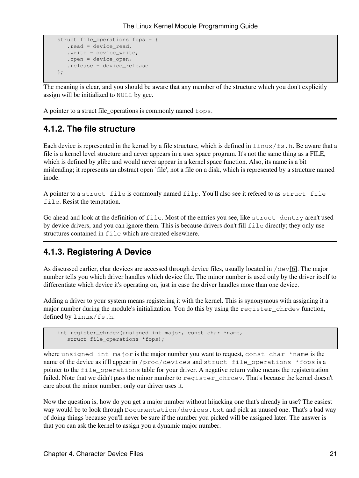```
 struct file_operations fops = {
    .read = device_read,
    .write = device_write,
   .open = device open,
    .release = device_release
 };
```
The meaning is clear, and you should be aware that any member of the structure which you don't explicitly assign will be initialized to NULL by gcc.

A pointer to a struct file operations is commonly named fops.

### <span id="page-23-0"></span>**4.1.2. The file structure**

Each device is represented in the kernel by a file structure, which is defined in  $\lim_{x \to \infty} f$  fs.h. Be aware that a file is a kernel level structure and never appears in a user space program. It's not the same thing as a FILE, which is defined by glibc and would never appear in a kernel space function. Also, its name is a bit misleading; it represents an abstract open `file', not a file on a disk, which is represented by a structure named inode.

A pointer to a struct file is commonly named filp. You'll also see it refered to as struct file file. Resist the temptation.

Go ahead and look at the definition of file. Most of the entries you see, like struct dentry aren't used by device drivers, and you can ignore them. This is because drivers don't fill file directly; they only use structures contained in file which are created elsewhere.

### <span id="page-23-1"></span>**4.1.3. Registering A Device**

As discussed earlier, char devices are accessed through device files, usually located in  $\sqrt{\text{dev}[6]}$ . The major number tells you which driver handles which device file. The minor number is used only by the driver itself to differentiate which device it's operating on, just in case the driver handles more than one device.

Adding a driver to your system means registering it with the kernel. This is synonymous with assigning it a major number during the module's initialization. You do this by using the register\_chrdev function, defined by linux/fs.h.

```
 int register_chrdev(unsigned int major, const char *name,
    struct file_operations *fops);
```
where unsigned int major is the major number you want to request, const char \*name is the name of the device as it'll appear in /proc/devices and struct file\_operations \*fops is a pointer to the file operations table for your driver. A negative return value means the registertration failed. Note that we didn't pass the minor number to register\_chrdev. That's because the kernel doesn't care about the minor number; only our driver uses it.

Now the question is, how do you get a major number without hijacking one that's already in use? The easiest way would be to look through Documentation/devices.txt and pick an unused one. That's a bad way of doing things because you'll never be sure if the number you picked will be assigned later. The answer is that you can ask the kernel to assign you a dynamic major number.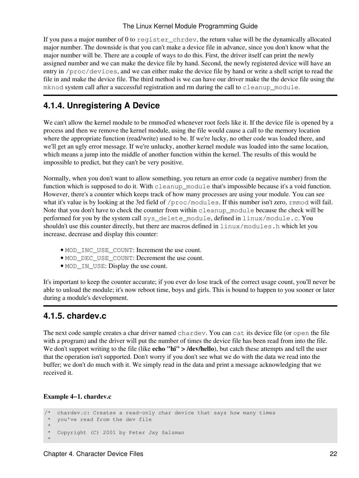If you pass a major number of 0 to register\_chrdev, the return value will be the dynamically allocated major number. The downside is that you can't make a device file in advance, since you don't know what the major number will be. There are a couple of ways to do this. First, the driver itself can print the newly assigned number and we can make the device file by hand. Second, the newly registered device will have an entry in /proc/devices, and we can either make the device file by hand or write a shell script to read the file in and make the device file. The third method is we can have our driver make the the device file using the mknod system call after a successful registration and rm during the call to cleanup\_module.

### <span id="page-24-0"></span>**4.1.4. Unregistering A Device**

We can't allow the kernel module to be rmmod'ed whenever root feels like it. If the device file is opened by a process and then we remove the kernel module, using the file would cause a call to the memory location where the appropriate function (read/write) used to be. If we're lucky, no other code was loaded there, and we'll get an ugly error message. If we're unlucky, another kernel module was loaded into the same location, which means a jump into the middle of another function within the kernel. The results of this would be impossible to predict, but they can't be very positive.

Normally, when you don't want to allow something, you return an error code (a negative number) from the function which is supposed to do it. With cleanup\_module that's impossible because it's a void function. However, there's a counter which keeps track of how many processes are using your module. You can see what it's value is by looking at the 3rd field of /proc/modules. If this number isn't zero, rmmod will fail. Note that you don't have to check the counter from within cleanup module because the check will be performed for you by the system call sys\_delete\_module, defined in linux/module.c. You shouldn't use this counter directly, but there are macros defined in  $\text{linux}/\text{modules}$ . h which let you increase, decrease and display this counter:

- MOD INC USE COUNT: Increment the use count.
- MOD\_DEC\_USE\_COUNT: Decrement the use count.
- MOD\_IN\_USE: Display the use count.

It's important to keep the counter accurate; if you ever do lose track of the correct usage count, you'll never be able to unload the module; it's now reboot time, boys and girls. This is bound to happen to you sooner or later during a module's development.

### <span id="page-24-1"></span>**4.1.5. chardev.c**

The next code sample creates a char driver named chardev. You can cat its device file (or open the file with a program) and the driver will put the number of times the device file has been read from into the file. We don't support writing to the file (like **echo "hi" > /dev/hello**), but catch these attempts and tell the user that the operation isn't supported. Don't worry if you don't see what we do with the data we read into the buffer; we don't do much with it. We simply read in the data and print a message acknowledging that we received it.

### **Example 4−1. chardev.c**

```
chardev.c: Creates a read-only char device that says how many times
   you've read from the dev file
 *
   Copyright (C) 2001 by Peter Jay Salzman
 *
```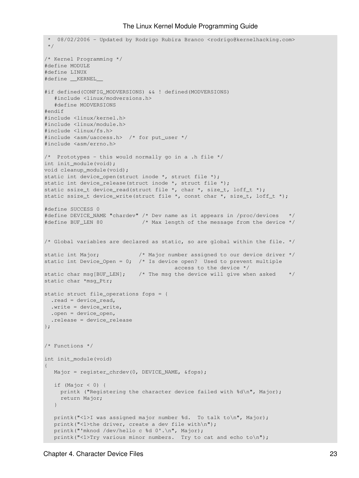```
 * 08/02/2006 − Updated by Rodrigo Rubira Branco <rodrigo@kernelhacking.com>
 */
/* Kernel Programming */
#define MODULE
#define LINUX
#define __KERNEL__
#if defined(CONFIG_MODVERSIONS) && ! defined(MODVERSIONS)
    #include <linux/modversions.h>
    #define MODVERSIONS
#endif
#include <linux/kernel.h>
#include <linux/module.h>
#include <linux/fs.h>
#include <asm/uaccess.h> /* for put_user */
#include <asm/errno.h>
/* Prototypes − this would normally go in a .h file */
int init_module(void);
void cleanup_module(void);
static int device_open(struct inode *, struct file *);
static int device_release(struct inode *, struct file *);
static ssize_t device_read(struct file *, char *, size_t, loff_t *);
static ssize_t device_write(struct file *, const char *, size_t, loff_t *);
#define SUCCESS 0
#define DEVICE_NAME "chardev" /* Dev name as it appears in /proc/devices */
#define BUF_LEN 80 /* Max length of the message from the device */
/* Global variables are declared as static, so are global within the file. */
static int Major; /* Major number assigned to our device driver */
static int Device_Open = 0; /* Is device open? Used to prevent multiple
                                        access to the device */
static char msg[BUF_LEN]; /* The msg the device will give when asked */
static char *msg_Ptr;
static struct file_operations fops = {
  .read = device_read,
  .write = device_write,
  .open = device_open,
  .release = device_release
};
/* Functions */
int init_module(void)
{
  Major = register_chrdev(0, DEVICE_NAME, &fops);
   if (Major < 0) {
    printk ("Registering the character device failed with \alpha \n\cdot, Major);
     return Major;
    }
   printk("<1>I was assigned major number %d. To talk to\n", Major);
    printk("<1>the driver, create a dev file with\n");
    printk("'mknod /dev/hello c %d 0'.\n", Major);
    printk("<1>Try various minor numbers. Try to cat and echo to\n");
```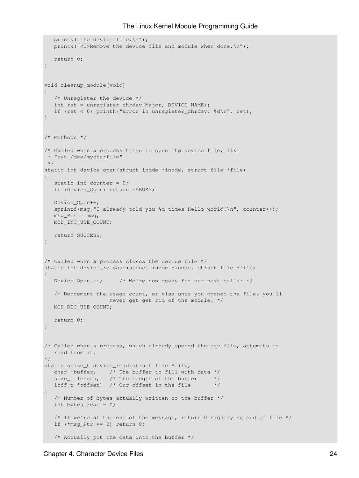```
 printk("the device file.\n");
  printk("<1>Remove the device file and module when done.\n");
   return 0;
}
void cleanup_module(void)
{
    /* Unregister the device */
   int ret = unregister_chrdev(Major, DEVICE_NAME);
   if (ret < 0) printk("Error in unregister_chrdev: %d\n", ret);
}
/* Methods */
/* Called when a process tries to open the device file, like
 * "cat /dev/mycharfile"
 */
static int device_open(struct inode *inode, struct file *file)
{
   static int counter = 0;
   if (Device_Open) return −EBUSY;
   Device_Open++;
   sprintf(msg,"I already told you %d times Hello world!\n", counter++);
  msg_Ptr = msg; MOD_INC_USE_COUNT;
   return SUCCESS;
}
/* Called when a process closes the device file */static int device_release(struct inode *inode, struct file *file)
{
   Device_Open −−; /* We're now ready for our next caller */
    /* Decrement the usage count, or else once you opened the file, you'll
                    never get get rid of the module. */
   MOD_DEC_USE_COUNT;
   return 0;
}
/* Called when a process, which already opened the dev file, attempts to
   read from it.
*/
static ssize_t device_read(struct file *filp,
  char *buffer, \frac{1}{x} The buffer to fill with data */
   size_t length, \frac{1}{x} The length of the buffer \frac{x}{x}<br>loff t *offset) /* Our offset in the file \frac{x}{x}loff_t *offset) /* Our offset in the file
{
    /* Number of bytes actually written to the buffer */
   int bytes_read = 0;
   /* If we're at the end of the message, return 0 signifying end of file */if (*msg_Ptr == 0) return 0;
    /* Actually put the data into the buffer */
```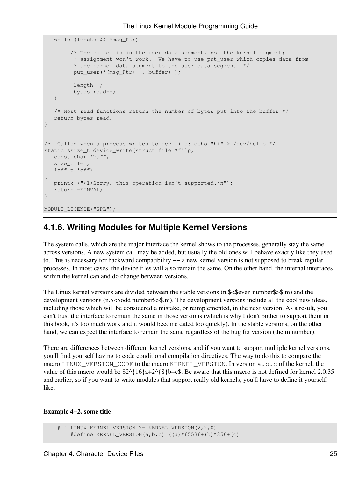```
 while (length && *msg_Ptr) {
        /* The buffer is in the user data segment, not the kernel segment;
          * assignment won't work. We have to use put_user which copies data from
          * the kernel data segment to the user data segment. */
          put_user(*(msg_Ptr++), buffer++);
          length−−;
          bytes_read++;
    }
    /* Most read functions return the number of bytes put into the buffer */
    return bytes_read;
}
/* Called when a process writes to dev file: echo "hi" > /dev/hello */
static ssize_t device_write(struct file *filp,
   const char *buff,
   size_t len,
   loff_t *off)
{
  printk ("<1>Sorry, this operation isn't supported.\n");
   return −EINVAL;
}
MODULE_LICENSE("GPL");
```
### <span id="page-27-0"></span>**4.1.6. Writing Modules for Multiple Kernel Versions**

The system calls, which are the major interface the kernel shows to the processes, generally stay the same across versions. A new system call may be added, but usually the old ones will behave exactly like they used to. This is necessary for backward compatibility –– a new kernel version is not supposed to break regular processes. In most cases, the device files will also remain the same. On the other hand, the internal interfaces within the kernel can and do change between versions.

The Linux kernel versions are divided between the stable versions  $(n.\$<\$even numbers\$)\$  and the development versions (n.\$<\$odd number\$ $\gg$ .m). The development versions include all the cool new ideas, including those which will be considered a mistake, or reimplemented, in the next version. As a result, you can't trust the interface to remain the same in those versions (which is why I don't bother to support them in this book, it's too much work and it would become dated too quickly). In the stable versions, on the other hand, we can expect the interface to remain the same regardless of the bug fix version (the m number).

There are differences between different kernel versions, and if you want to support multiple kernel versions, you'll find yourself having to code conditional compilation directives. The way to do this to compare the macro LINUX VERSION CODE to the macro KERNEL VERSION. In version a.b.c of the kernel, the value of this macro would be  $2^{2}{16}a+2^{8}b+c$ \$. Be aware that this macro is not defined for kernel 2.0.35 and earlier, so if you want to write modules that support really old kernels, you'll have to define it yourself, like:

### **Example 4−2. some title**

```
#if LINUX_KERNEL_VERSION >= KERNEL_VERSION(2,2,0)
    #define KERNEL_VERSION(a,b,c) ((a) * 65536 + (b) * 256 + (c))
```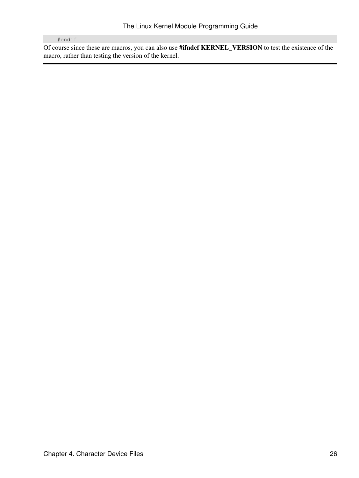#endif

Of course since these are macros, you can also use **#ifndef KERNEL\_VERSION** to test the existence of the macro, rather than testing the version of the kernel.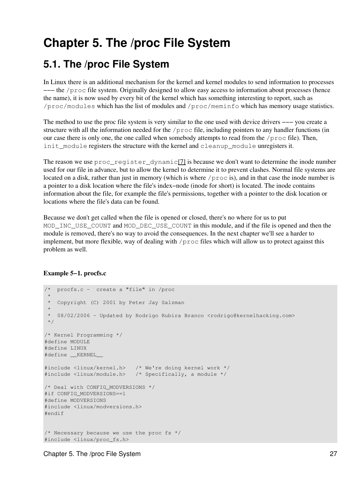## <span id="page-29-0"></span>**Chapter 5. The /proc File System**

## <span id="page-29-1"></span>**5.1. The /proc File System**

In Linux there is an additional mechanism for the kernel and kernel modules to send information to processes −−− the /proc file system. Originally designed to allow easy access to information about processes (hence the name), it is now used by every bit of the kernel which has something interesting to report, such as /proc/modules which has the list of modules and /proc/meminfo which has memory usage statistics.

The method to use the proc file system is very similar to the one used with device drivers −−− you create a structure with all the information needed for the  $/pr \circ c$  file, including pointers to any handler functions (in our case there is only one, the one called when somebody attempts to read from the  $/$ proc file). Then, init\_module registers the structure with the kernel and cleanup\_module unregisters it.

The reason we use  $\text{proc\_register\_dynamic[7]}$  is because we don't want to determine the inode number used for our file in advance, but to allow the kernel to determine it to prevent clashes. Normal file systems are located on a disk, rather than just in memory (which is where /proc is), and in that case the inode number is a pointer to a disk location where the file's index−node (inode for short) is located. The inode contains information about the file, for example the file's permissions, together with a pointer to the disk location or locations where the file's data can be found.

Because we don't get called when the file is opened or closed, there's no where for us to put MOD\_INC\_USE\_COUNT and MOD\_DEC\_USE\_COUNT in this module, and if the file is opened and then the module is removed, there's no way to avoid the consequences. In the next chapter we'll see a harder to implement, but more flexible, way of dealing with  $/pr \circ c$  files which will allow us to protect against this problem as well.

### **Example 5−1. procfs.c**

```
/* procfs.c − create a "file" in /proc 
  *
   Copyright (C) 2001 by Peter Jay Salzman
 *
  * 08/02/2006 − Updated by Rodrigo Rubira Branco <rodrigo@kernelhacking.com>
  */
/* Kernel Programming */
#define MODULE
#define LINUX
#define __KERNEL__
#include <linux/kernel.h> /* We're doing kernel work */
#include <linux/module.h> /* Specifically, a module */
/* Deal with CONFIG_MODVERSIONS */
#if CONFIG_MODVERSIONS==1
#define MODVERSIONS
#include <linux/modversions.h>
#endif 
/* Necessary because we use the proc fs */
#include <linux/proc_fs.h>
```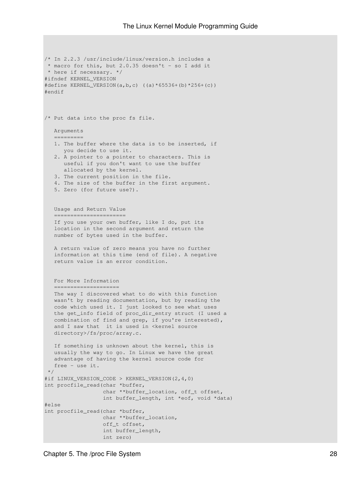```
/* In 2.2.3 /usr/include/linux/version.h includes a 
  * macro for this, but 2.0.35 doesn't − so I add it 
 * here if necessary. */
#ifndef KERNEL_VERSION
#define KERNEL_VERSION(a,b,c) ((a)*65536+(b)*256+(c))
#endif
/* Put data into the proc fs file.
    Arguments
    =========
    1. The buffer where the data is to be inserted, if 
      you decide to use it.
    2. A pointer to a pointer to characters. This is 
      useful if you don't want to use the buffer 
      allocated by the kernel.
    3. The current position in the file. 
    4. The size of the buffer in the first argument. 
    5. Zero (for future use?).
   Usage and Return Value
    ======================
   If you use your own buffer, like I do, put its 
   location in the second argument and return the 
   number of bytes used in the buffer.
   A return value of zero means you have no further 
    information at this time (end of file). A negative 
    return value is an error condition.
   For More Information
    ==================== 
   The way I discovered what to do with this function 
   wasn't by reading documentation, but by reading the 
   code which used it. I just looked to see what uses 
   the get_info field of proc_dir_entry struct (I used a 
   combination of find and grep, if you're interested), 
  and I saw that it is used in <kernel source
   directory>/fs/proc/array.c.
   If something is unknown about the kernel, this is 
   usually the way to go. In Linux we have the great 
   advantage of having the kernel source code for 
   free − use it.
  */
#if LINUX_VERSION_CODE > KERNEL_VERSION(2,4,0)
int procfile_read(char *buffer,
                    char **buffer_location, off_t offset,
                    int buffer_length, int *eof, void *data)
#else
int procfile_read(char *buffer, 
                   char **buffer_location, 
                   off_t offset, 
                   int buffer_length, 
                   int zero)
```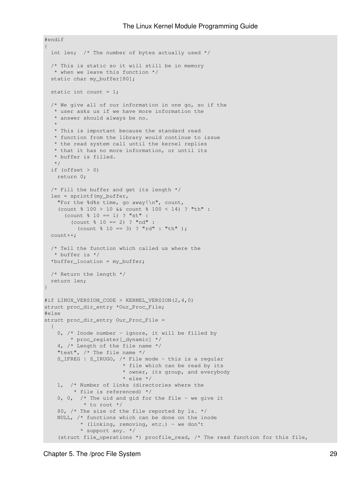```
#endif
{
  int len; /* The number of bytes actually used */ /* This is static so it will still be in memory 
   * when we leave this function */
   static char my_buffer[80]; 
  static int count = 1;
   /* We give all of our information in one go, so if the 
    * user asks us if we have more information the 
    * answer should always be no. 
\rightarrow * This is important because the standard read 
    * function from the library would continue to issue 
    * the read system call until the kernel replies
    * that it has no more information, or until its 
    * buffer is filled.
    */
   if (offset > 0)
    return 0;
   /* Fill the buffer and get its length */
   len = sprintf(my_buffer, 
     "For the %d%s time, go away!\n", count,
     (count % 100 > 10 && count % 100 < 14) ? "th" : 
      (count \frac{1}{6} 10 == 1) ? "st" :
        (count \frac{1}{6} 10 == 2) ? "nd" :
          (count \frac{1}{2} 10 == 3) ? "rd" : "th" );
   count++;
   /* Tell the function which called us where the 
    * buffer is */
   *buffer_location = my_buffer;
   /* Return the length */
   return len;
}
#if LINUX_VERSION_CODE > KERNEL_VERSION(2,4,0)
struct proc_dir_entry *Our_Proc_File;
#else
struct proc_dir_entry Our_Proc_File = 
   {
     0, /* Inode number − ignore, it will be filled by 
         * proc_register[_dynamic] */
     4, /* Length of the file name */
    "test", /* The file name */ S_IFREG | S_IRUGO, /* File mode − this is a regular 
                           * file which can be read by its 
                           * owner, its group, and everybody
                           * else */
     1, /* Number of links (directories where the 
          * file is referenced) */
     0, 0, /* The uid and gid for the file − we give it 
             * to root */
     80, /* The size of the file reported by ls. */
     NULL, /* functions which can be done on the inode 
             * (linking, removing, etc.) − we don't 
             * support any. */
     (struct file_operations *) procfile_read, /* The read function for this file,
```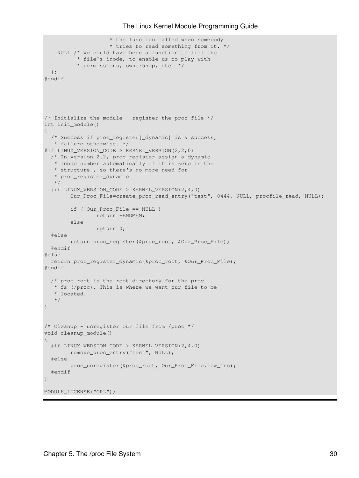```
 * the function called when somebody 
                      * tries to read something from it. */
     NULL /* We could have here a function to fill the 
           * file's inode, to enable us to play with 
           * permissions, ownership, etc. */
   }; 
#endif
/* Initialize the module − register the proc file */
int init_module()
{
   /* Success if proc_register[_dynamic] is a success, 
   * failure otherwise. */
#if LINUX_VERSION_CODE > KERNEL_VERSION(2,2,0)
   /* In version 2.2, proc_register assign a dynamic 
    * inode number automatically if it is zero in the 
   * structure , so there's no more need for 
    * proc_register_dynamic
   */
   #if LINUX_VERSION_CODE > KERNEL_VERSION(2,4,0)
         Our_Proc_File=create_proc_read_entry("test", 0444, NULL, procfile_read, NULL);
         if ( Our_Proc_File == NULL )
                 return −ENOMEM;
         else
                 return 0;
   #else
         return proc_register(&proc_root, &Our_Proc_File);
   #endif
#else
   return proc_register_dynamic(&proc_root, &Our_Proc_File);
#endif
   /* proc_root is the root directory for the proc 
    * fs (/proc). This is where we want our file to be 
    * located. 
   */
}
/* Cleanup − unregister our file from /proc */
void cleanup_module()
{
   #if LINUX_VERSION_CODE > KERNEL_VERSION(2,4,0)
         remove_proc_entry("test", NULL);
   #else
         proc_unregister(&proc_root, Our_Proc_File.low_ino);
   #endif
} 
MODULE_LICENSE("GPL");
```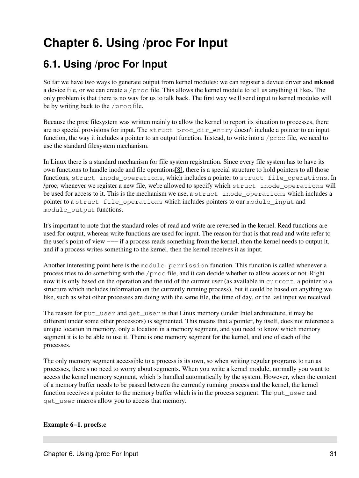## <span id="page-33-0"></span>**Chapter 6. Using /proc For Input**

## <span id="page-33-1"></span>**6.1. Using /proc For Input**

So far we have two ways to generate output from kernel modules: we can register a device driver and **mknod** a device file, or we can create a /proc file. This allows the kernel module to tell us anything it likes. The only problem is that there is no way for us to talk back. The first way we'll send input to kernel modules will be by writing back to the /proc file.

Because the proc filesystem was written mainly to allow the kernel to report its situation to processes, there are no special provisions for input. The struct proc\_dir\_entry doesn't include a pointer to an input function, the way it includes a pointer to an output function. Instead, to write into a /proc file, we need to use the standard filesystem mechanism.

In Linux there is a standard mechanism for file system registration. Since every file system has to have its own functions to handle inode and file operations  $[8]$ , there is a special structure to hold pointers to all those functions, struct inode\_operations, which includes a pointer to struct file\_operations. In /proc, whenever we register a new file, we're allowed to specify which struct inode\_operations will be used for access to it. This is the mechanism we use, a struct inode operations which includes a pointer to a struct file\_operations which includes pointers to our module\_input and module\_output functions.

It's important to note that the standard roles of read and write are reversed in the kernel. Read functions are used for output, whereas write functions are used for input. The reason for that is that read and write refer to the user's point of view −−− if a process reads something from the kernel, then the kernel needs to output it, and if a process writes something to the kernel, then the kernel receives it as input.

Another interesting point here is the module\_permission function. This function is called whenever a process tries to do something with the /proc file, and it can decide whether to allow access or not. Right now it is only based on the operation and the uid of the current user (as available in current, a pointer to a structure which includes information on the currently running process), but it could be based on anything we like, such as what other processes are doing with the same file, the time of day, or the last input we received.

The reason for put user and get user is that Linux memory (under Intel architecture, it may be different under some other processors) is segmented. This means that a pointer, by itself, does not reference a unique location in memory, only a location in a memory segment, and you need to know which memory segment it is to be able to use it. There is one memory segment for the kernel, and one of each of the processes.

The only memory segment accessible to a process is its own, so when writing regular programs to run as processes, there's no need to worry about segments. When you write a kernel module, normally you want to access the kernel memory segment, which is handled automatically by the system. However, when the content of a memory buffer needs to be passed between the currently running process and the kernel, the kernel function receives a pointer to the memory buffer which is in the process segment. The put user and get\_user macros allow you to access that memory.

### **Example 6−1. procfs.c**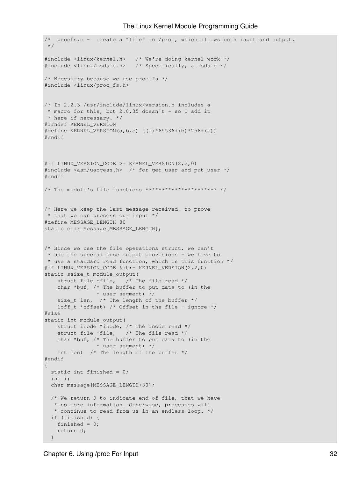```
/* procfs.c − create a "file" in /proc, which allows both input and output.
 */
#include <linux/kernel.h> /* We're doing kernel work */
#include <linux/module.h> /* Specifically, a module */
/* Necessary because we use proc fs */
#include <linux/proc_fs.h>
/* In 2.2.3 /usr/include/linux/version.h includes a 
 * macro for this, but 2.0.35 doesn't − so I add it 
 * here if necessary. */
#ifndef KERNEL_VERSION
#define KERNEL VERSION(a,b,c) ((a)*65536+(b)*256+(c))#endif
#if LINUX_VERSION_CODE >= KERNEL_VERSION(2,2,0)
#include <asm/uaccess.h> /* for get_user and put_user */
#endif
/* The module's file functions ********************** */
/* Here we keep the last message received, to prove 
 * that we can process our input */
#define MESSAGE_LENGTH 80
static char Message[MESSAGE_LENGTH];
/* Since we use the file operations struct, we can't 
 * use the special proc output provisions − we have to 
 * use a standard read function, which is this function */
#if LINUX_VERSION_CODE & qt; = KERNEL_VERSION(2,2,0)
static ssize_t module_output(
    struct file *file, /* The file read */
    char *buf, /* The buffer to put data to (in the
                * user segment) */
   size_t len, /* The length of the buffer */ loff_t *offset) /* Offset in the file − ignore */
#else
static int module_output(
    struct inode *inode, /* The inode read */
   struct file *file, /* The file read */
   char *buf, \sqrt{\ } The buffer to put data to (in the
                 * user segment) */
   int len) /* The length of the buffer */#endif
{
  static int finished = 0;
  int i;
  char message[MESSAGE_LENGTH+30];
   /* We return 0 to indicate end of file, that we have 
    * no more information. Otherwise, processes will 
   * continue to read from us in an endless loop. */
   if (finished) {
    finished = 0;
    return 0;
   }
```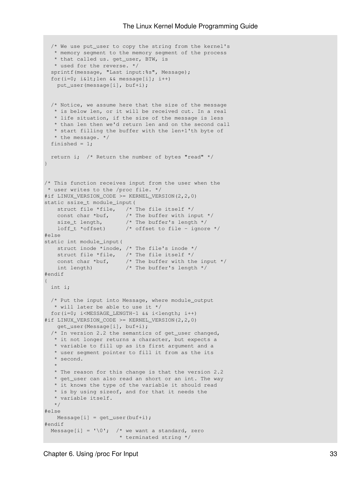```
 /* We use put_user to copy the string from the kernel's 
    * memory segment to the memory segment of the process 
    * that called us. get_user, BTW, is
    * used for the reverse. */
   sprintf(message, "Last input:%s", Message);
  for(i=0; i<len && message[i]; i++)
     put_user(message[i], buf+i);
   /* Notice, we assume here that the size of the message 
    * is below len, or it will be received cut. In a real 
    * life situation, if the size of the message is less 
    * than len then we'd return len and on the second call 
    * start filling the buffer with the len+1'th byte of 
    * the message. */
  finished = 1;return i; /* Return the number of bytes "read" */}
/* This function receives input from the user when the 
 * user writes to the /proc file. */
#if LINUX_VERSION_CODE >= KERNEL_VERSION(2,2,0)
static ssize_t module_input(
 struct file *file, /* The file itself */
const char *buf, \overline{\phantom{a}} /* The buffer with input */
size_t length, \overline{\phantom{a}} /* The buffer's length */
 loff_t *offset) /* offset to file − ignore */
#else
static int module_input(
    struct inode *inode, /* The file's inode */
 struct file *file, /* The file itself */
const char *buf, \overline{\phantom{a}} /* The buffer with the input */
 int length) /* The buffer's length */
#endif
{
  int i;
   /* Put the input into Message, where module_output 
    * will later be able to use it */
   for(i=0; i<MESSAGE_LENGTH−1 && i<length; i++)
#if LINUX VERSION CODE >= KERNEL VERSION(2,2,0)
    get_user(Message[i], buf+i);
  /* In version 2.2 the semantics of get_user changed,
    * it not longer returns a character, but expects a 
    * variable to fill up as its first argument and a 
    * user segment pointer to fill it from as the its 
    * second.
\mathbb{R}^n * The reason for this change is that the version 2.2 
    * get_user can also read an short or an int. The way 
    * it knows the type of the variable it should read 
    * is by using sizeof, and for that it needs the 
    * variable itself.
    */ 
#else 
   Message[i] = get_user(buff+i);#endif
 Message[i] = \sqrt{0}; /* we want a standard, zero
                        * terminated string */
```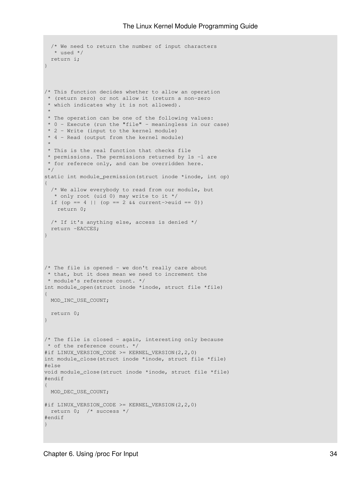```
 /* We need to return the number of input characters 
   * used */
   return i;
}
/* This function decides whether to allow an operation 
  * (return zero) or not allow it (return a non−zero 
  * which indicates why it is not allowed).
 *
  * The operation can be one of the following values:
  * 0 − Execute (run the "file" − meaningless in our case)
  * 2 − Write (input to the kernel module)
  * 4 − Read (output from the kernel module)
 *
  * This is the real function that checks file 
  * permissions. The permissions returned by ls −l are 
 * for referece only, and can be overridden here.
  */
static int module_permission(struct inode *inode, int op)
{
   /* We allow everybody to read from our module, but 
   * only root (uid 0) may write to it */ 
   if (op == 4 || (op == 2 && current−>euid == 0))
    return 0; 
   /* If it's anything else, access is denied */
   return −EACCES;
}
/* The file is opened − we don't really care about 
  * that, but it does mean we need to increment the 
  * module's reference count. */
int module_open(struct inode *inode, struct file *file)
{
  MOD_INC_USE_COUNT;
  return 0;
}
/* The file is closed − again, interesting only because 
 * of the reference count. */
#if LINUX_VERSION_CODE >= KERNEL_VERSION(2,2,0)
int module_close(struct inode *inode, struct file *file)
#else
void module_close(struct inode *inode, struct file *file)
#endif
{
  MOD_DEC_USE_COUNT;
#if LINUX_VERSION_CODE >= KERNEL_VERSION(2,2,0)
  return 0; /* success */
#endif
}
```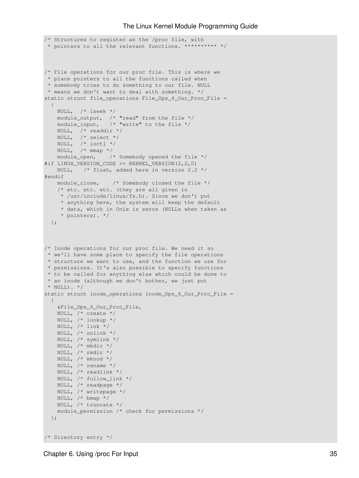```
/* Structures to register as the /proc file, with 
 * pointers to all the relevant functions. ********** */
/* File operations for our proc file. This is where we 
 * place pointers to all the functions called when 
  * somebody tries to do something to our file. NULL 
  * means we don't want to deal with something. */
static struct file_operations File_Ops_4_Our_Proc_File =
 \{ NULL, /* lseek */
 module_output, /* "read" from the file */
 module_input, /* "write" to the file */
     NULL, /* readdir */
     NULL, /* select */
     NULL, /* ioctl */
    NULL, /* \text{mmap} */ module_open, /* Somebody opened the file */
#if LINUX_VERSION_CODE >= KERNEL_VERSION(2,2,0)
    NULL, /* flush, added here in version 2.2 */
#endif
     module_close, /* Somebody closed the file */
    /* etc. etc. etc. (they are all given in
      * /usr/include/linux/fs.h). Since we don't put 
     * anything here, the system will keep the default
      * data, which in Unix is zeros (NULLs when taken as 
      * pointers). */
   };
/* Inode operations for our proc file. We need it so 
  * we'll have some place to specify the file operations 
  * structure we want to use, and the function we use for 
  * permissions. It's also possible to specify functions 
  * to be called for anything else which could be done to 
  * an inode (although we don't bother, we just put 
 * NULL). */static struct inode_operations Inode_Ops_4_Our_Proc_File =
\left\{ \begin{array}{c} 1 \end{array} \right. &File_Ops_4_Our_Proc_File,
     NULL, /* create */
     NULL, /* lookup */
    NULL, /* link */ NULL, /* unlink */
     NULL, /* symlink */
     NULL, /* mkdir */
     NULL, /* rmdir */
    NULL, /* mknod */
     NULL, /* rename */
     NULL, /* readlink */
     NULL, /* follow_link */
     NULL, /* readpage */
     NULL, /* writepage */
    NULL, /* bmap */
     NULL, /* truncate */
    module_permission /* check for permissions */
   };
/* Directory entry */
```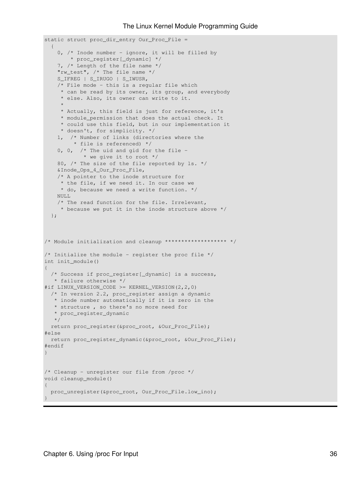```
static struct proc_dir_entry Our_Proc_File = 
   {
     0, /* Inode number − ignore, it will be filled by 
         * proc_register[_dynamic] */
     7, /* Length of the file name */
     "rw_test", /* The file name */
     S_IFREG | S_IRUGO | S_IWUSR, 
     /* File mode − this is a regular file which 
      * can be read by its owner, its group, and everybody
      * else. Also, its owner can write to it.
\star * Actually, this field is just for reference, it's
      * module_permission that does the actual check. It 
      * could use this field, but in our implementation it
      * doesn't, for simplicity. */
     1, /* Number of links (directories where the 
          * file is referenced) */
     0, 0, /* The uid and gid for the file − 
             * we give it to root */
    80, /* The size of the file reported by ls. */ &Inode_Ops_4_Our_Proc_File, 
     /* A pointer to the inode structure for
      * the file, if we need it. In our case we
     * do, because we need a write function. */
     NULL 
     /* The read function for the file. Irrelevant, 
      * because we put it in the inode structure above */
   }; 
/* Module initialization and cleanup ******************* */
/* Initialize the module − register the proc file */
int init_module()
{
   /* Success if proc_register[_dynamic] is a success, 
    * failure otherwise */
#if LINUX VERSION CODE >= KERNEL VERSION(2,2,0)
   /* In version 2.2, proc_register assign a dynamic 
    * inode number automatically if it is zero in the 
    * structure , so there's no more need for 
    * proc_register_dynamic
   */
  return proc_register(&proc_root, &Our_Proc_File);
#else
  return proc_register_dynamic(&proc_root, &Our_Proc_File);
#endif
}
/* Cleanup − unregister our file from /proc */
void cleanup_module()
{
   proc_unregister(&proc_root, Our_Proc_File.low_ino);
}
```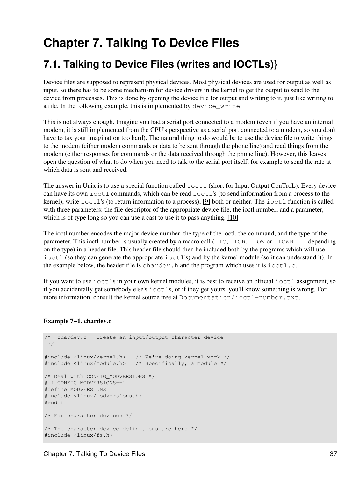# **Chapter 7. Talking To Device Files**

## **7.1. Talking to Device Files (writes and IOCTLs)}**

Device files are supposed to represent physical devices. Most physical devices are used for output as well as input, so there has to be some mechanism for device drivers in the kernel to get the output to send to the device from processes. This is done by opening the device file for output and writing to it, just like writing to a file. In the following example, this is implemented by device\_write.

This is not always enough. Imagine you had a serial port connected to a modem (even if you have an internal modem, it is still implemented from the CPU's perspective as a serial port connected to a modem, so you don't have to tax your imagination too hard). The natural thing to do would be to use the device file to write things to the modem (either modem commands or data to be sent through the phone line) and read things from the modem (either responses for commands or the data received through the phone line). However, this leaves open the question of what to do when you need to talk to the serial port itself, for example to send the rate at which data is sent and received.

The answer in Unix is to use a special function called  $i$  octl (short for Input Output ConTroL). Every device can have its own ioctl commands, which can be read ioctl's (to send information from a process to the kernel), write ioctl's (to return information to a process), [9] both or neither. The ioctl function is called with three parameters: the file descriptor of the appropriate device file, the ioctl number, and a parameter, which is of type long so you can use a cast to use it to pass anything. [10]

The ioctl number encodes the major device number, the type of the ioctl, the command, and the type of the parameter. This ioctl number is usually created by a macro call (\_IO, \_IOR, \_IOW or \_IOWR −−− depending on the type) in a header file. This header file should then be included both by the programs which will use ioctl (so they can generate the appropriate ioctl's) and by the kernel module (so it can understand it). In the example below, the header file is chardev.h and the program which uses it is ioctl.c.

If you want to use ioctls in your own kernel modules, it is best to receive an official ioctl assignment, so if you accidentally get somebody else's ioctls, or if they get yours, you'll know something is wrong. For more information, consult the kernel source tree at Documentation/ioctl−number.txt.

### **Example 7−1. chardev.c**

```
/* chardev.c − Create an input/output character device
 */
#include <linux/kernel.h> /* We're doing kernel work */
#include <linux/module.h> /* Specifically, a module */
/* Deal with CONFIG_MODVERSIONS */
#if CONFIG_MODVERSIONS==1
#define MODVERSIONS
#include <linux/modversions.h>
#endif 
/* For character devices */
/* The character device definitions are here */#include <linux/fs.h>
```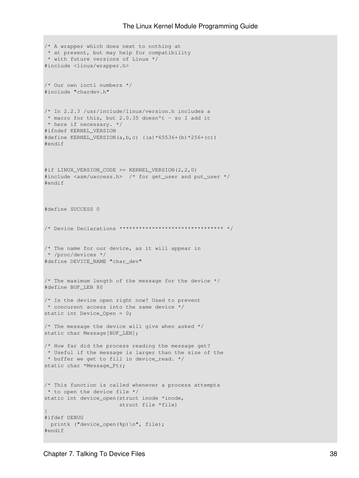```
/* A wrapper which does next to nothing at
 * at present, but may help for compatibility
 * with future versions of Linux */
#include <linux/wrapper.h>
/* Our own ioctl numbers */
#include "chardev.h"
/* In 2.2.3 /usr/include/linux/version.h includes a 
 * macro for this, but 2.0.35 doesn't − so I add it 
 * here if necessary. */
#ifndef KERNEL_VERSION
#define KERNEL_VERSION(a,b,c) ((a)*65536+(b)*256+(c))
#endif
#if LINUX_VERSION_CODE >= KERNEL_VERSION(2,2,0)
#include <asm/uaccess.h> /* for get_user and put_user */
#endif
#define SUCCESS 0
/* Device Declarations ******************************** */
/* The name for our device, as it will appear in 
 * /proc/devices */
#define DEVICE_NAME "char_dev"
/* The maximum length of the message for the device */
#define BUF_LEN 80
/* Is the device open right now? Used to prevent 
 * concurent access into the same device */
static int Device_Open = 0;
\frac{1}{x} The message the device will give when asked \frac{x}{x}static char Message[BUF_LEN];
/* How far did the process reading the message get? 
 * Useful if the message is larger than the size of the 
 * buffer we get to fill in device_read. */
static char *Message_Ptr;
/* This function is called whenever a process attempts 
 * to open the device file */
static int device_open(struct inode *inode, 
                        struct file *file)
{
#ifdef DEBUG
 printk ("device_open(%p)\n", file);
#endif
```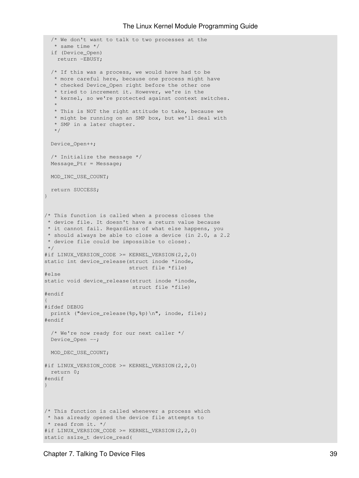```
 /* We don't want to talk to two processes at the 
    * same time */
   if (Device_Open)
    return −EBUSY;
   /* If this was a process, we would have had to be 
    * more careful here, because one process might have 
    * checked Device_Open right before the other one 
    * tried to increment it. However, we're in the 
    * kernel, so we're protected against context switches.
\mathbb{R}^n * This is NOT the right attitude to take, because we
    * might be running on an SMP box, but we'll deal with
    * SMP in a later chapter.
    */ 
   Device_Open++;
   /* Initialize the message */
   Message_Ptr = Message;
   MOD_INC_USE_COUNT;
   return SUCCESS;
}
/* This function is called when a process closes the 
  * device file. It doesn't have a return value because 
  * it cannot fail. Regardless of what else happens, you 
  * should always be able to close a device (in 2.0, a 2.2
  * device file could be impossible to close).
 */
#if LINUX_VERSION_CODE >= KERNEL_VERSION(2,2,0)
static int device_release(struct inode *inode, 
                            struct file *file)
#else
static void device_release(struct inode *inode, 
                             struct file *file)
#endif
{
#ifdef DEBUG
  printk ("device_release(%p,%p)\n", inode, file);
#endif
   /* We're now ready for our next caller */
   Device_Open −−;
  MOD_DEC_USE_COUNT;
#if LINUX_VERSION_CODE >= KERNEL_VERSION(2,2,0)
  return 0;
#endif
}
/* This function is called whenever a process which 
 * has already opened the device file attempts to 
  * read from it. */
#if LINUX_VERSION_CODE >= KERNEL_VERSION(2,2,0)
static ssize_t device_read(
```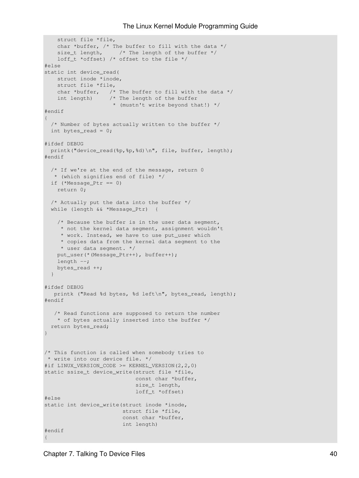```
 struct file *file,
    char *buffer, /* The buffer to fill with the data */
    size_t length, \sqrt{\frac{1}{\pi}} The length of the buffer \frac{\pi}{4}loff t *offset) /* offset to the file */
#else
static int device_read(
    struct inode *inode,
     struct file *file,
    char *buffer, \frac{1}{x} The buffer to fill with the data */
     int length) /* The length of the buffer 
                      * (mustn't write beyond that!) */
#endif
{
   /* Number of bytes actually written to the buffer */
  int bytes_read = 0;
#ifdef DEBUG
  printk("device_read(%p,%p,%d)\n", file, buffer, length);
#endif
  /* If we're at the end of the message, return 0
   * (which signifies end of file) */
   if (*Message_Ptr == 0)
    return 0;
   /* Actually put the data into the buffer */
   while (length && *Message_Ptr) {
    /* Because the buffer is in the user data segment,
      * not the kernel data segment, assignment wouldn't 
      * work. Instead, we have to use put_user which 
      * copies data from the kernel data segment to the 
      * user data segment. */
     put_user(*(Message_Ptr++), buffer++);
     length −−;
    bytes_read ++;
   }
#ifdef DEBUG
  printk ("Read %d bytes, %d left\n", bytes_read, length);
#endif
    /* Read functions are supposed to return the number 
    * of bytes actually inserted into the buffer */
   return bytes_read;
}
/* This function is called when somebody tries to 
 * write into our device file. */ 
#if LINUX_VERSION_CODE >= KERNEL_VERSION(2,2,0)
static ssize_t device_write(struct file *file,
                              const char *buffer,
                              size_t length,
                              loff_t *offset)
#else
static int device_write(struct inode *inode,
                          struct file *file,
                          const char *buffer,
                          int length)
#endif
{
```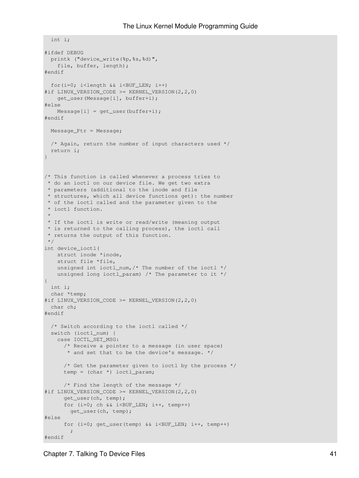```
 int i;
#ifdef DEBUG
  printk ("device_write(%p,%s,%d)",
    file, buffer, length);
#endif
   for(i=0; i<length && i<BUF_LEN; i++)
#if LINUX_VERSION_CODE >= KERNEL_VERSION(2,2,0)
     get_user(Message[i], buffer+i);
#else
   Message[i] = get_user(buffer+i);#endif 
  Message_Ptr = Message;
  /* Again, return the number of input characters used */
  return i;
}
/* This function is called whenever a process tries to 
 * do an ioctl on our device file. We get two extra 
  * parameters (additional to the inode and file 
  * structures, which all device functions get): the number
  * of the ioctl called and the parameter given to the 
  * ioctl function.
 *
  * If the ioctl is write or read/write (meaning output 
  * is returned to the calling process), the ioctl call 
  * returns the output of this function.
  */
int device_ioctl(
    struct inode *inode,
    struct file *file,
   unsigned int ioctl_num, /* The number of the ioctl */ unsigned long ioctl_param) /* The parameter to it */
{
  int i;
  char *temp;
#if LINUX_VERSION_CODE >= KERNEL_VERSION(2,2,0)
  char ch;
#endif
   /* Switch according to the ioctl called */
   switch (ioctl_num) {
     case IOCTL_SET_MSG:
      /* Receive a pointer to a message (in user space) 
        * and set that to be the device's message. */ 
       /* Get the parameter given to ioctl by the process */
       temp = (char *) ioctl_param;
       /* Find the length of the message */
#if LINUX_VERSION_CODE >= KERNEL_VERSION(2,2,0)
       get_user(ch, temp);
      for (i=0; ch & & i<BUF_LEN; i++, temp++) get_user(ch, temp);
#else
       for (i=0; get_user(temp) && i<BUF_LEN; i++, temp++)
\mathcal{L} ; and \mathcal{L}#endif
```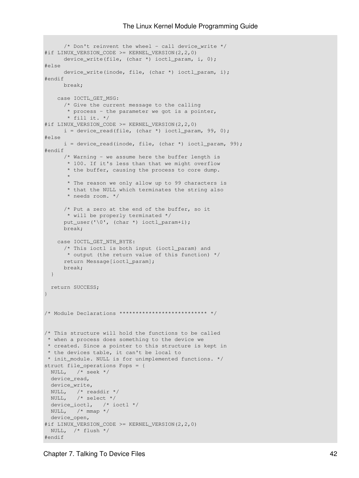```
 /* Don't reinvent the wheel − call device_write */
#if LINUX_VERSION_CODE >= KERNEL_VERSION(2,2,0)
       device_write(file, (char *) ioctl_param, i, 0);
#else
       device_write(inode, file, (char *) ioctl_param, i);
#endif
       break;
     case IOCTL_GET_MSG:
       /* Give the current message to the calling 
        * process − the parameter we got is a pointer, 
       * fill it. */#if LINUX VERSION CODE >= KERNEL VERSION(2,2,0)
      i = device_read(file, (char *) ioctl_param, 99, 0);
#else
      i = device_read(inode, file, (char *) ioctl_param, 99);
#endif
       /* Warning − we assume here the buffer length is 
        * 100. If it's less than that we might overflow 
        * the buffer, causing the process to core dump. 
\mathcal{A}^{\mathcal{A}} , and \mathcal{A}^{\mathcal{A}} * The reason we only allow up to 99 characters is 
        * that the NULL which terminates the string also 
        * needs room. */
       /* Put a zero at the end of the buffer, so it 
        * will be properly terminated */
       put_user('\0', (char *) ioctl_param+i);
       break;
     case IOCTL_GET_NTH_BYTE:
       /* This ioctl is both input (ioctl_param) and 
        * output (the return value of this function) */
       return Message[ioctl_param];
       break;
   }
  return SUCCESS;
}
/* Module Declarations *************************** */
/* This structure will hold the functions to be called 
 * when a process does something to the device we 
 * created. Since a pointer to this structure is kept in 
 * the devices table, it can't be local to
  * init_module. NULL is for unimplemented functions. */
struct file_operations Fops = {
  NULL, /* seek */
  device_read, 
  device_write,
 NULL, /* readdir */
 NULL, /* select */
  device_ioctl, /* ioctl */
  NULL, /* mmap */
  device_open,
#if LINUX_VERSION_CODE >= KERNEL_VERSION(2,2,0)
  NULL, /* flush */
#endif
```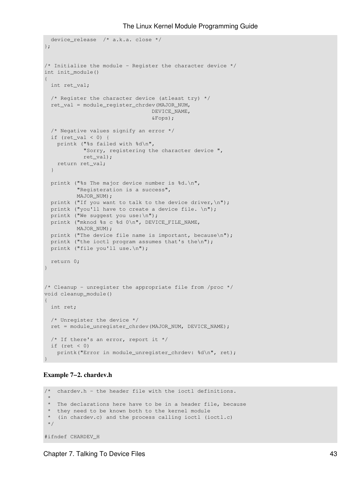```
 device_release /* a.k.a. close */
};
/* Initialize the module − Register the character device */
int init_module()
{
   int ret_val;
   /* Register the character device (atleast try) */
   ret_val = module_register_chrdev(MAJOR_NUM, 
                                   DEVICE_NAME,
                                   &Fops);
   /* Negative values signify an error */
  if (\text{ret\_val} < 0) {
    printk ("%s failed with %d\n",
             "Sorry, registering the character device ",
             ret_val);
     return ret_val;
   }
   printk ("%s The major device number is %d.\n",
           "Registeration is a success", 
           MAJOR_NUM);
  printk ("If you want to talk to the device driver, \n");
  printk ("you'll have to create a device file. \n");
   printk ("We suggest you use:\n");
   printk ("mknod %s c %d 0\n", DEVICE_FILE_NAME, 
          MAJOR_NUM) ;
   printk ("The device file name is important, because\n");
   printk ("the ioctl program assumes that's the\n");
   printk ("file you'll use.\n");
   return 0;
}
/* Cleanup − unregister the appropriate file from /proc */
void cleanup_module()
{
  int ret;
   /* Unregister the device */
   ret = module_unregister_chrdev(MAJOR_NUM, DEVICE_NAME);
   /* If there's an error, report it */ 
  if (ret < 0)
     printk("Error in module_unregister_chrdev: %d\n", ret);
}
```
#### **Example 7−2. chardev.h**

```
/* chardev.h − the header file with the ioctl definitions.
 *
  * The declarations here have to be in a header file, because
   they need to be known both to the kernel module
  * (in chardev.c) and the process calling ioctl (ioctl.c)
  */
#ifndef CHARDEV_H
```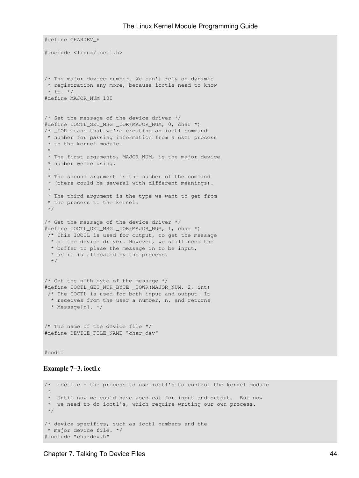```
#define CHARDEV_H
#include <linux/ioctl.h>
/* The major device number. We can't rely on dynamic 
 * registration any more, because ioctls need to know 
* it. */#define MAJOR_NUM 100
/* Set the message of the device driver */#define IOCTL_SET_MSG _IOR(MAJOR_NUM, 0, char *)
/* _IOR means that we're creating an ioctl command 
 * number for passing information from a user process
 * to the kernel module. 
 *
 * The first arguments, MAJOR_NUM, is the major device 
  * number we're using.
  *
  * The second argument is the number of the command 
  * (there could be several with different meanings).
 *
  * The third argument is the type we want to get from 
  * the process to the kernel.
  */
/* Get the message of the device driver */
#define IOCTL_GET_MSG _IOR(MAJOR_NUM, 1, char *)
  /* This IOCTL is used for output, to get the message 
   * of the device driver. However, we still need the 
  * buffer to place the message in to be input, 
  * as it is allocated by the process.
  */
/* Get the n'th byte of the message */
#define IOCTL_GET_NTH_BYTE _IOWR(MAJOR_NUM, 2, int)
 /* The IOCTL is used for both input and output. It 
  * receives from the user a number, n, and returns 
  * Message[n]. */
/* The name of the device file */#define DEVICE_FILE_NAME "char_dev"
```

```
#endif
```
#### **Example 7−3. ioctl.c**

```
/* ioctl.c − the process to use ioctl's to control the kernel module
 *
 * Until now we could have used cat for input and output. But now
  * we need to do ioctl's, which require writing our own process. 
 */
/* device specifics, such as ioctl numbers and the 
 * major device file. */
#include "chardev.h"
```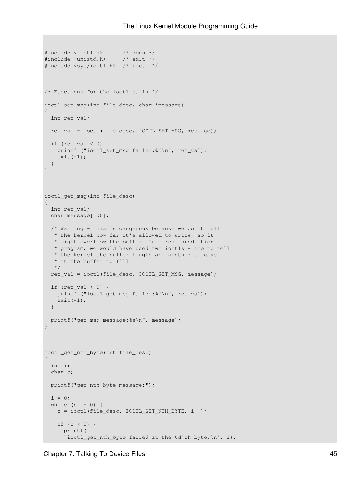```
#include <fcntl.h> /* open */ 
#include <unistd.h> /* exit */
#include <sys/ioctl.h> /* ioctl */
/* Functions for the ioctl calls */
ioctl_set_msg(int file_desc, char *message)
{
   int ret_val;
   ret_val = ioctl(file_desc, IOCTL_SET_MSG, message);
   if (ret_val < 0) {
    printf ("ioctl_set_msg failed:%d\n", ret_val);
   ext(-1); }
}
ioctl_get_msg(int file_desc)
{
   int ret_val;
  char message[100];
   /* Warning − this is dangerous because we don't tell 
    * the kernel how far it's allowed to write, so it 
   * might overflow the buffer. In a real production 
    * program, we would have used two ioctls − one to tell
    * the kernel the buffer length and another to give 
    * it the buffer to fill
    */
   ret_val = ioctl(file_desc, IOCTL_GET_MSG, message);
  if (ret_val < 0) {
    printf ("ioctl_get_msg failed:%d\n", ret_val);
    exit(−1);
   }
   printf("get_msg message:%s\n", message);
}
ioctl_get_nth_byte(int file_desc)
{
   int i;
   char c;
   printf("get_nth_byte message:");
  i = 0;while (c := 0) {
   c = i_0ct1(file\_desc, IOCTL\_GET\_NTH\_BYTE, i++);
    if (c < 0) {
      printf(
       "ioctl_get_nth_byte failed at the %d'th byte:\n", i);
```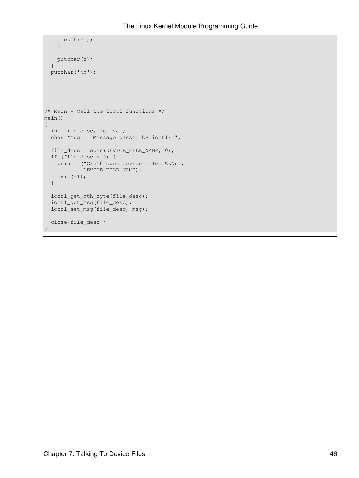```
 exit(−1);
     }
    putchar(c);
   } 
   putchar('\n');
}
/* Main − Call the ioctl functions */
main()
{
   int file_desc, ret_val;
  char *msg = "Message passed by ioctl\n";
   file_desc = open(DEVICE_FILE_NAME, 0);
   if (file_desc < 0) {
    printf ("Can't open device file: %s\n", 
            DEVICE_FILE_NAME);
    exit(−1);
   }
   ioctl_get_nth_byte(file_desc);
   ioctl_get_msg(file_desc);
   ioctl_set_msg(file_desc, msg);
   close(file_desc); 
}
```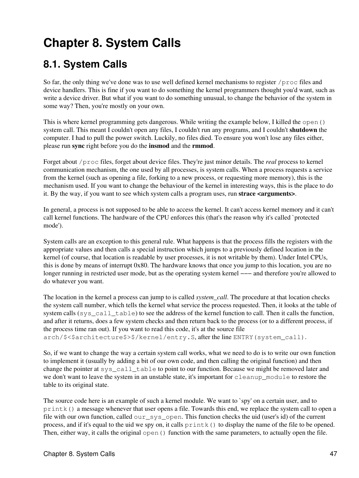# **Chapter 8. System Calls**

## **8.1. System Calls**

So far, the only thing we've done was to use well defined kernel mechanisms to register  $/$   $\text{proc}$  files and device handlers. This is fine if you want to do something the kernel programmers thought you'd want, such as write a device driver. But what if you want to do something unusual, to change the behavior of the system in some way? Then, you're mostly on your own.

This is where kernel programming gets dangerous. While writing the example below, I killed the open () system call. This meant I couldn't open any files, I couldn't run any programs, and I couldn't **shutdown** the computer. I had to pull the power switch. Luckily, no files died. To ensure you won't lose any files either, please run **sync** right before you do the **insmod** and the **rmmod**.

Forget about /proc files, forget about device files. They're just minor details. The *real* process to kernel communication mechanism, the one used by all processes, is system calls. When a process requests a service from the kernel (such as opening a file, forking to a new process, or requesting more memory), this is the mechanism used. If you want to change the behaviour of the kernel in interesting ways, this is the place to do it. By the way, if you want to see which system calls a program uses, run **strace <arguments>**.

In general, a process is not supposed to be able to access the kernel. It can't access kernel memory and it can't call kernel functions. The hardware of the CPU enforces this (that's the reason why it's called `protected mode').

System calls are an exception to this general rule. What happens is that the process fills the registers with the appropriate values and then calls a special instruction which jumps to a previously defined location in the kernel (of course, that location is readable by user processes, it is not writable by them). Under Intel CPUs, this is done by means of interrupt 0x80. The hardware knows that once you jump to this location, you are no longer running in restricted user mode, but as the operating system kernel −−− and therefore you're allowed to do whatever you want.

The location in the kernel a process can jump to is called *system\_call*. The procedure at that location checks the system call number, which tells the kernel what service the process requested. Then, it looks at the table of system calls (sys call table) to see the address of the kernel function to call. Then it calls the function, and after it returns, does a few system checks and then return back to the process (or to a different process, if the process time ran out). If you want to read this code, it's at the source file arch/\$<\$architecture\$>\$/kernel/entry.S, after the line ENTRY (system\_call).

So, if we want to change the way a certain system call works, what we need to do is to write our own function to implement it (usually by adding a bit of our own code, and then calling the original function) and then change the pointer at sys call table to point to our function. Because we might be removed later and we don't want to leave the system in an unstable state, it's important for cleanup\_module to restore the table to its original state.

The source code here is an example of such a kernel module. We want to `spy' on a certain user, and to printk() a message whenever that user opens a file. Towards this end, we replace the system call to open a file with our own function, called our\_sys\_open. This function checks the uid (user's id) of the current process, and if it's equal to the uid we spy on, it calls  $print(k)$  to display the name of the file to be opened. Then, either way, it calls the original open() function with the same parameters, to actually open the file.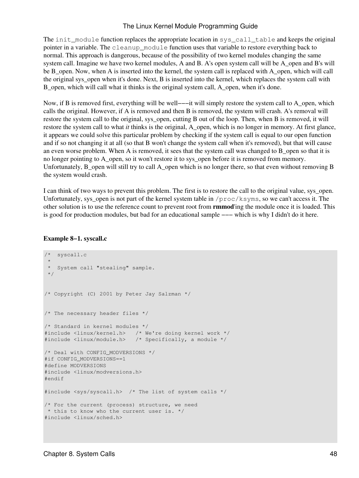The init module function replaces the appropriate location in sys call table and keeps the original pointer in a variable. The cleanup\_module function uses that variable to restore everything back to normal. This approach is dangerous, because of the possibility of two kernel modules changing the same system call. Imagine we have two kernel modules, A and B. A's open system call will be A\_open and B's will be B\_open. Now, when A is inserted into the kernel, the system call is replaced with A\_open, which will call the original sys open when it's done. Next, B is inserted into the kernel, which replaces the system call with B\_open, which will call what it thinks is the original system call, A\_open, when it's done.

Now, if B is removed first, everything will be well−−−it will simply restore the system call to A\_open, which calls the original. However, if A is removed and then B is removed, the system will crash. A's removal will restore the system call to the original, sys\_open, cutting B out of the loop. Then, when B is removed, it will restore the system call to what *it* thinks is the original, A\_open, which is no longer in memory. At first glance, it appears we could solve this particular problem by checking if the system call is equal to our open function and if so not changing it at all (so that B won't change the system call when it's removed), but that will cause an even worse problem. When A is removed, it sees that the system call was changed to B\_open so that it is no longer pointing to A\_open, so it won't restore it to sys\_open before it is removed from memory. Unfortunately, B\_open will still try to call A\_open which is no longer there, so that even without removing B the system would crash.

I can think of two ways to prevent this problem. The first is to restore the call to the original value, sys\_open. Unfortunately, sys open is not part of the kernel system table in  $/proc/ksyms$ , so we can't access it. The other solution is to use the reference count to prevent root from **rmmod**'ing the module once it is loaded. This is good for production modules, but bad for an educational sample −−− which is why I didn't do it here.

### **Example 8−1. syscall.c**

```
/* syscall.c 
 * 
 * System call "stealing" sample.
  */
/* Copyright (C) 2001 by Peter Jay Salzman */
/* The necessary header files */
/* Standard in kernel modules */
#include <linux/kernel.h> /* We're doing kernel work */
#include <linux/module.h> /* Specifically, a module */
/* Deal with CONFIG MODVERSIONS */
#if CONFIG_MODVERSIONS==1
#define MODVERSIONS
#include <linux/modversions.h>
#endif 
#include <sys/syscall.h> /* The list of system calls */
/* For the current (process) structure, we need
 * this to know who the current user is. */
#include <linux/sched.h>
```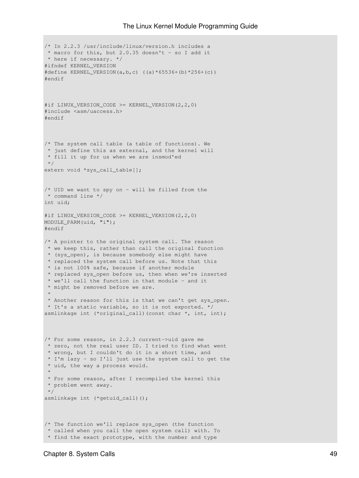```
/* In 2.2.3 /usr/include/linux/version.h includes a 
 * macro for this, but 2.0.35 doesn't − so I add it 
 * here if necessary. */
#ifndef KERNEL_VERSION
#define KERNEL_VERSION(a,b,c) ((a)*65536+(b)*256+(c))
#endif
#if LINUX_VERSION_CODE >= KERNEL_VERSION(2,2,0)
#include <asm/uaccess.h>
#endif
/* The system call table (a table of functions). We 
  * just define this as external, and the kernel will 
  * fill it up for us when we are insmod'ed 
  */
extern void *sys_call_table[];
/* UID we want to spy on − will be filled from the 
 * command line */
int uid; 
#if LINUX_VERSION_CODE >= KERNEL_VERSION(2,2,0)
MODULE_PARM(uid, "i");
#endif
/* A pointer to the original system call. The reason 
 * we keep this, rather than call the original function 
  * (sys_open), is because somebody else might have 
  * replaced the system call before us. Note that this 
  * is not 100% safe, because if another module 
  * replaced sys_open before us, then when we're inserted 
  * we'll call the function in that module − and it 
  * might be removed before we are.
 *
  * Another reason for this is that we can't get sys_open.
  * It's a static variable, so it is not exported. */
asmlinkage int (*original_call)(const char *, int, int);
/* For some reason, in 2.2.3 current−>uid gave me 
  * zero, not the real user ID. I tried to find what went 
  * wrong, but I couldn't do it in a short time, and 
  * I'm lazy − so I'll just use the system call to get the 
  * uid, the way a process would. 
 *
  * For some reason, after I recompiled the kernel this 
  * problem went away. 
  */
asmlinkage int (*getuid_call)();
/* The function we'll replace sys_open (the function 
  * called when you call the open system call) with. To 
  * find the exact prototype, with the number and type
```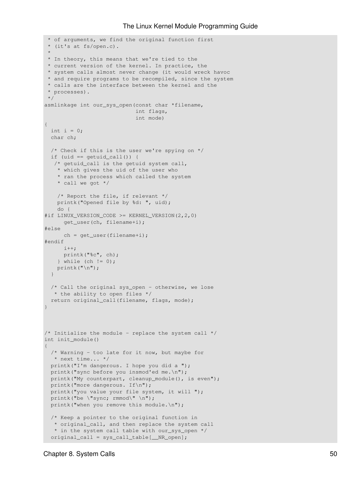```
 * of arguments, we find the original function first 
  * (it's at fs/open.c). 
 *
  * In theory, this means that we're tied to the 
  * current version of the kernel. In practice, the 
  * system calls almost never change (it would wreck havoc 
  * and require programs to be recompiled, since the system
  * calls are the interface between the kernel and the 
  * processes).
  */
asmlinkage int our_sys_open(const char *filename, 
                              int flags, 
                              int mode)
{
  int i = 0;
   char ch;
   /* Check if this is the user we're spying on */
  if (uid == qetuid\_call()) {
   /* getuid_call is the getuid system call, 
     * which gives the uid of the user who
     * ran the process which called the system
     * call we got */
     /* Report the file, if relevant */
     printk("Opened file by %d: ", uid); 
     do {
#if LINUX_VERSION_CODE >= KERNEL_VERSION(2,2,0)
      get_user(ch, filename+i);
#else
      ch = get_user(filename+i);
#endif
     i++; printk("%c", ch);
    } while (ch != 0);
     printk("\n");
   }
   /* Call the original sys_open − otherwise, we lose 
   * the ability to open files */
   return original_call(filename, flags, mode);
}
/* Initialize the module − replace the system call */
int init_module()
{
   /* Warning − too late for it now, but maybe for 
   * next time... */
   printk("I'm dangerous. I hope you did a ");
   printk("sync before you insmod'ed me.\n");
   printk("My counterpart, cleanup_module(), is even"); 
   printk("more dangerous. If\n");
   printk("you value your file system, it will ");
   printk("be \"sync; rmmod\" \n");
  printk("when you remove this module.\n");
   /* Keep a pointer to the original function in 
    * original_call, and then replace the system call 
    * in the system call table with our_sys_open */
   original_call = sys_call_table[__NR_open];
```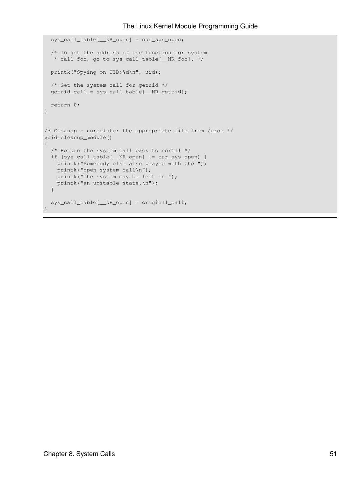```
 sys_call_table[__NR_open] = our_sys_open;
  /* To get the address of the function for system
   * call foo, go to sys_call_table[__NR_foo]. */
   printk("Spying on UID:%d\n", uid);
   /* Get the system call for getuid */
   getuid_call = sys_call_table[__NR_getuid];
   return 0;
}
/* Cleanup − unregister the appropriate file from /proc */
void cleanup_module()
{
   /* Return the system call back to normal */
   if (sys_call_table[__NR_open] != our_sys_open) {
   printk("Somebody else also played with the ");
    printk("open system call\n");
   printk("The system may be left in ");
    printk("an unstable state.\n");
   }
   sys_call_table[__NR_open] = original_call;
}
```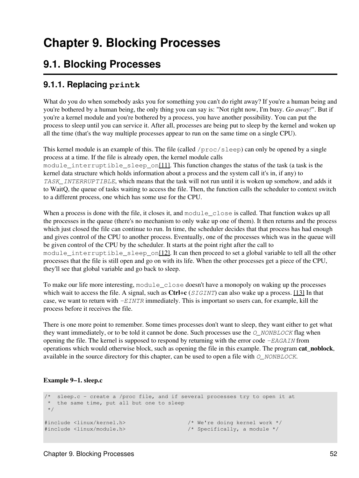## **Chapter 9. Blocking Processes**

## **9.1. Blocking Processes**

### **9.1.1. Replacing printk**

What do you do when somebody asks you for something you can't do right away? If you're a human being and you're bothered by a human being, the only thing you can say is: "Not right now, I'm busy. *Go away!*". But if you're a kernel module and you're bothered by a process, you have another possibility. You can put the process to sleep until you can service it. After all, processes are being put to sleep by the kernel and woken up all the time (that's the way multiple processes appear to run on the same time on a single CPU).

This kernel module is an example of this. The file (called /proc/sleep) can only be opened by a single process at a time. If the file is already open, the kernel module calls module interruptible sleep on [11]. This function changes the status of the task (a task is the kernel data structure which holds information about a process and the system call it's in, if any) to *TASK\_INTERRUPTIBLE*, which means that the task will not run until it is woken up somehow, and adds it to WaitQ, the queue of tasks waiting to access the file. Then, the function calls the scheduler to context switch to a different process, one which has some use for the CPU.

When a process is done with the file, it closes it, and module close is called. That function wakes up all the processes in the queue (there's no mechanism to only wake up one of them). It then returns and the process which just closed the file can continue to run. In time, the scheduler decides that that process has had enough and gives control of the CPU to another process. Eventually, one of the processes which was in the queue will be given control of the CPU by the scheduler. It starts at the point right after the call to module interruptible sleep on [12]. It can then proceed to set a global variable to tell all the other processes that the file is still open and go on with its life. When the other processes get a piece of the CPU, they'll see that global variable and go back to sleep.

To make our life more interesting, module close doesn't have a monopoly on waking up the processes which wait to access the file. A signal, such as **Ctrl**+**c** (*SIGINT*) can also wake up a process. [13] In that case, we want to return with *−EINTR* immediately. This is important so users can, for example, kill the process before it receives the file.

There is one more point to remember. Some times processes don't want to sleep, they want either to get what they want immediately, or to be told it cannot be done. Such processes use the *O\_NONBLOCK* flag when opening the file. The kernel is supposed to respond by returning with the error code *−EAGAIN* from operations which would otherwise block, such as opening the file in this example. The program **cat\_noblock**, available in the source directory for this chapter, can be used to open a file with *O\_NONBLOCK*.

### **Example 9−1. sleep.c**

```
/* sleep.c − create a /proc file, and if several processes try to open it at
 * the same time, put all but one to sleep
 */
#include <linux/kernel.h> /* We're doing kernel work */
#include <linux/module.h> /* Specifically, a module */
```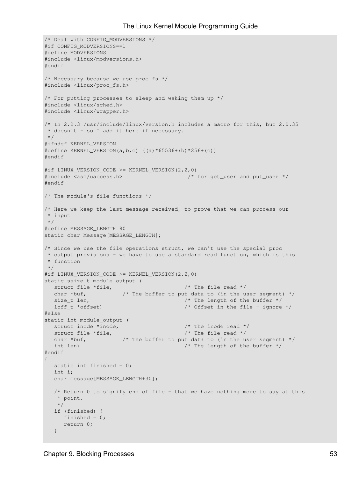```
/* Deal with CONFIG_MODVERSIONS */
#if CONFIG_MODVERSIONS==1
#define MODVERSIONS
#include <linux/modversions.h>
#endif 
/* Necessary because we use proc fs */
#include <linux/proc_fs.h>
/* For putting processes to sleep and waking them up */
#include <linux/sched.h>
#include <linux/wrapper.h>
/* In 2.2.3 /usr/include/linux/version.h includes a macro for this, but 2.0.35
 * doesn't − so I add it here if necessary.
 */
#ifndef KERNEL_VERSION
#define KERNEL_VERSION(a,b,c) ((a)*65536+(b)*256+(c))
#endif
#if LINUX_VERSION_CODE >= KERNEL_VERSION(2,2,0)
#include <asm/uaccess.h> /* for get_user and put_user */
#endif
/* The module's file functions */
/* Here we keep the last message received, to prove that we can process our
 * input
 */
#define MESSAGE_LENGTH 80
static char Message[MESSAGE_LENGTH];
/* Since we use the file operations struct, we can't use the special proc
 * output provisions − we have to use a standard read function, which is this
 * function
 */
#if LINUX_VERSION_CODE >= KERNEL_VERSION(2,2,0)
static ssize_t module_output (
  struct file *file, \frac{1}{2} /* The file read */
  char *buf, \gamma /* The buffer to put data to (in the user segment) */
  size_t len, \frac{1}{2} /* The length of the buffer */
   loff_t *offset) /* Offset in the file − ignore */
#else
static int module_output (
  struct inode *inode, \sqrt{2} /* The inode read */
  struct file *file, \frac{1}{2} /* The file read */
  char *buf, /* The buffer to put data to (in the user segment) */
  int len) \frac{1}{2} and \frac{1}{2} are length of the buffer \frac{x}{4}#endif
{
  static int finished = 0;
   int i;
   char message[MESSAGE_LENGTH+30];
   /* Return 0 to signify end of file − that we have nothing more to say at this
    * point.
    */
   if (finished) {
      finished = 0;
      return 0;
    }
```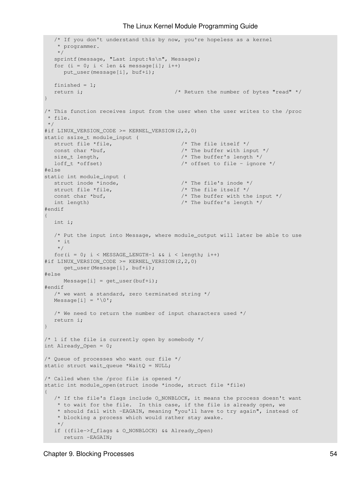```
 /* If you don't understand this by now, you're hopeless as a kernel
    * programmer.
    */
  sprintf(message, "Last input:%s\n", Message);
  for (i = 0; i < len && message[i]; i++)
      put_user(message[i], buf+i);
  finished = 1; return i; /* Return the number of bytes "read" */
}
/* This function receives input from the user when the user writes to the /proc
 * file.
 */
#if LINUX_VERSION_CODE >= KERNEL_VERSION(2,2,0)
static ssize_t module_input (
   struct file *file, /* The file itself */
  const char *buf, \frac{1}{2} /* The buffer with input */
  size_t length, \frac{1}{2} /* The buffer's length \frac{1}{2} loff_t *offset) /* offset to file − ignore */
#else
static int module_input (
 struct inode *inode, \frac{1}{2} /* The file's inode */
   struct file *file, /* The file itself */
  const char *buf, \sqrt{2} /* The buffer with the input */
   int length) /* The buffer's length */
#endif
{
   int i;
    /* Put the input into Message, where module_output will later be able to use
    * it
    */
  for(i = 0; i < MESSAGE_LENGTH-1 && i < length; i++)
#if LINUX_VERSION_CODE >= KERNEL_VERSION(2,2,0)
      get_user(Message[i], buf+i);
#else
     Message[i] = get_user(bluff+i);#endif
   /* we want a standard, zero terminated string */
  Message[i] = ' \setminus 0';
   /* We need to return the number of input characters used */
   return i;
}
/* 1 if the file is currently open by somebody */int Already_Open = 0;
/* Queue of processes who want our file */
static struct wait_queue *WaitQ = NULL;
/* Called when the /proc file is opened */
static int module_open(struct inode *inode, struct file *file)
{
    /* If the file's flags include O_NONBLOCK, it means the process doesn't want
    * to wait for the file. In this case, if the file is already open, we
    * should fail with −EAGAIN, meaning "you'll have to try again", instead of
     * blocking a process which would rather stay awake.
    */
    if ((file−>f_flags & O_NONBLOCK) && Already_Open) 
      return −EAGAIN;
```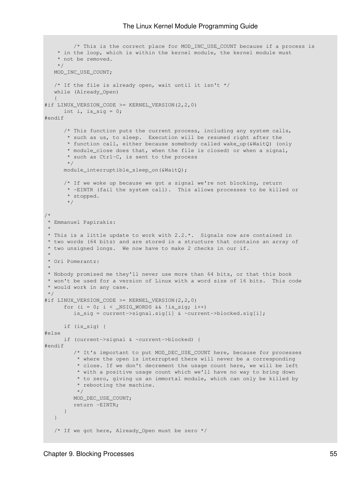```
 /* This is the correct place for MOD_INC_USE_COUNT because if a process is
     * in the loop, which is within the kernel module, the kernel module must
    * not be removed.
     */
   MOD_INC_USE_COUNT;
   /* If the file is already open, wait until it isn't */
   while (Already_Open) 
\leftarrow {
#if LINUX_VERSION_CODE >= KERNEL_VERSION(2,2,0)
     int i, is_sig = 0;
#endif
       /* This function puts the current process, including any system calls,
        * such as us, to sleep. Execution will be resumed right after the
       * function call, either because somebody called wake_up(&WaitQ) (only
       * module_close does that, when the file is closed) or when a signal,
        * such as Ctrl−C, is sent to the process
       */
      module_interruptible_sleep_on(&WaitQ);
      /* If we woke up because we got a signal we're not blocking, return
        * −EINTR (fail the system call). This allows processes to be killed or
        * stopped.
        */
/*
 * Emmanuel Papirakis:
 *
 * This is a little update to work with 2.2.*. Signals now are contained in
 * two words (64 bits) and are stored in a structure that contains an array of
  * two unsigned longs. We now have to make 2 checks in our if.
 *
 * Ori Pomerantz:
 *
 * Nobody promised me they'll never use more than 64 bits, or that this book
 * won't be used for a version of Linux with a word size of 16 bits. This code
 * would work in any case.
 */ 
#if LINUX_VERSION_CODE >= KERNEL_VERSION(2,2,0)
     for (i = 0; i < NSIG_WORDS && !is_sig; i++)
         is_sig = current−>signal.sig[i] & ~current−>blocked.sig[i];
      if (is_sig) {
#else
      if (current−>signal & ~current−>blocked) {
#endif
          /* It's important to put MOD_DEC_USE_COUNT here, because for processes
           * where the open is interrupted there will never be a corresponding
           * close. If we don't decrement the usage count here, we will be left
          * with a positive usage count which we'll have no way to bring down
           * to zero, giving us an immortal module, which can only be killed by
          * rebooting the machine.
           */
          MOD_DEC_USE_COUNT;
          return −EINTR;
       }
    }
    /* If we got here, Already_Open must be zero */
```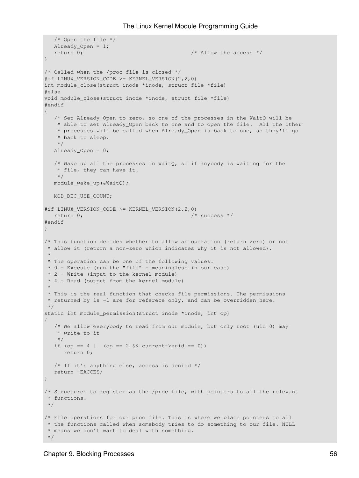```
 /* Open the file */
   Already_Open = 1;
  return 0; \frac{1}{2} /* Allow the access */
}
/* Called when the /proc file is closed */
#if LINUX_VERSION_CODE >= KERNEL_VERSION(2,2,0)
int module_close(struct inode *inode, struct file *file)
#e]se
void module_close(struct inode *inode, struct file *file)
#endif
{
    /* Set Already_Open to zero, so one of the processes in the WaitQ will be
     * able to set Already_Open back to one and to open the file. All the other
     * processes will be called when Already_Open is back to one, so they'll go
     * back to sleep.
    */
   Already_Open = 0;
   /* Wake up all the processes in WaitQ, so if anybody is waiting for the
    * file, they can have it.
    */
   module_wake_up(&WaitQ);
   MOD_DEC_USE_COUNT;
#if LINUX_VERSION_CODE >= KERNEL_VERSION(2,2,0)
  return 0; \frac{1}{2} /* success */
#endif
}
/* This function decides whether to allow an operation (return zero) or not
 * allow it (return a non−zero which indicates why it is not allowed).
 *
  * The operation can be one of the following values:
  * 0 − Execute (run the "file" − meaningless in our case)
  * 2 − Write (input to the kernel module)
  * 4 − Read (output from the kernel module)
 *
  * This is the real function that checks file permissions. The permissions
  * returned by ls −l are for referece only, and can be overridden here. 
 */
static int module_permission(struct inode *inode, int op)
{
  /* We allow everybody to read from our module, but only root (uid 0) may
    * write to it
    */ 
   if (op == 4 || (op == 2 && current−>euid == 0))
      return 0; 
   /* If it's anything else, access is denied */
   return −EACCES;
}
/* Structures to register as the /proc file, with pointers to all the relevant
 * functions. 
 */
/* File operations for our proc file. This is where we place pointers to all
  * the functions called when somebody tries to do something to our file. NULL
  * means we don't want to deal with something.
  */
```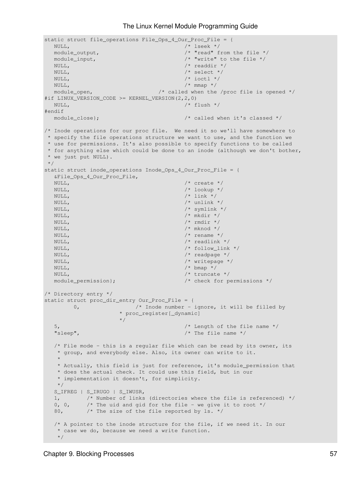```
static struct file_operations File_Ops_4_Our_Proc_File = {
   NULL, /* lseek */
  module_output, /* "read" from the file */
  module input, / \sqrt{*} "write" to the file */NULL, \sqrt{\frac{1}{\pi}} readdir \frac{x}{4}NULL, \frac{1}{2} /* select */
  NULL, \sqrt{\frac{1}{\pi}} ioctl \frac{1}{\pi}NULL, \frac{1}{2} mmap \frac{1}{2} mmap \frac{1}{2} mmap \frac{1}{2} mmap \frac{1}{2} mmap \frac{1}{2} mmap \frac{1}{2} mmap \frac{1}{2} mmap \frac{1}{2} mmap \frac{1}{2} mmap \frac{1}{2} mmap \frac{1}{2} mmap \frac{1}{2} mmap \frac{1}{2} mmap \frac{1module_open, \frac{1}{2} /* called when the /proc file is opened */
#if LINUX_VERSION_CODE >= KERNEL_VERSION(2,2,0)
  NULL, \hspace{0.5cm} /* flush */
#endif
  module_close}; \overline{a} /* called when it's classed */
/* Inode operations for our proc file. We need it so we'll have somewhere to
 * specify the file operations structure we want to use, and the function we
  * use for permissions. It's also possible to specify functions to be called
  * for anything else which could be done to an inode (although we don't bother,
  * we just put NULL).
 */
static struct inode_operations Inode_Ops_4_Our_Proc_File = {
   &File_Ops_4_Our_Proc_File,
  NULL, \sqrt{2} create \sqrt{2}\texttt{NULL}, \texttt{100kup *}NULL, \sqrt{\frac{1}{\pi}} link \frac{\pi}{4}NULL, \sqrt{\frac{1}{\pi}} unlink \frac{1}{\pi} NULL, /* symlink */
  NULL, \sqrt{\frac{1}{\pi}} mkdir \frac{\pi}{4}NULL, \frac{1}{2} rmdir \frac{1}{2} /* rmdir \frac{1}{2} /* rmdir \frac{1}{2} /* rmdir \frac{1}{2} /
  NULL, \sqrt{\frac{1}{\pi}} mknod \sqrt{\frac{1}{\pi}} mknod \sqrt{\frac{1}{\pi}}NULL, \frac{1}{2} rename \frac{1}{2} rename \frac{1}{2} /* rename \frac{1}{2} /*
  NULL, \sqrt{\frac{1}{\pi}} readlink \frac{1}{\pi} NULL, /* follow_link */
  NULL, \sqrt{\frac{1}{\pi}} readpage \frac{1}{\pi}NULL, \sqrt{\frac{1}{\pi}} writepage \frac{1}{\pi} /* writepage \frac{1}{\pi}\texttt{NULL}, \hspace{0.1cm} \hspace{0.1cm} \hspace{0.1cm} \hspace{0.1cm} \hspace{0.1cm} \hspace{0.1cm} \hspace{0.1cm} \hspace{0.1cm} \hspace{0.1cm} \hspace{0.1cm} \hspace{0.1cm} \hspace{0.1cm} \hspace{0.1cm} \hspace{0.1cm} \hspace{0.1cm} \hspace{0.1cm} \hspace{0.1cm} \hspace{0.NULL, \sqrt{2} truncate \sqrt{2} module_permission}; /* check for permissions */
/* Directory entry */
static struct proc_dir_entry Our_Proc_File = {
          0, /* Inode number − ignore, it will be filled by 
                         * proc_register[_dynamic]
\star/ \star / \star / \star / \star / \star / \star 5, /* Length of the file name */
   "sleep", \frac{1}{2} /* The file name \frac{x}{4} /* File mode − this is a regular file which can be read by its owner, its
     * group, and everybody else. Also, its owner can write to it.
\star * Actually, this field is just for reference, it's module_permission that
     * does the actual check. It could use this field, but in our
     * implementation it doesn't, for simplicity.
    \star /
    S_IFREG | S_IRUGO | S_IWUSR, 
    1, /* Number of links (directories where the file is referenced) */
    0, 0, /* The uid and gid for the file − we give it to root */
    80, /* The size of the file reported by ls. */
    /* A pointer to the inode structure for the file, if we need it. In our
     * case we do, because we need a write function.
     */
```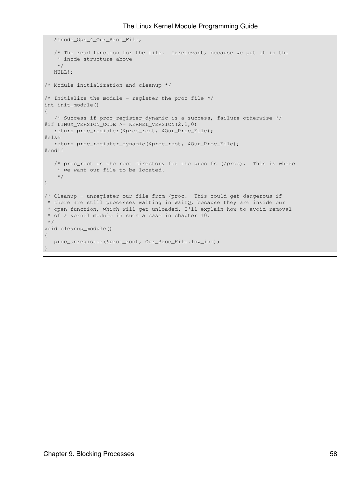```
 &Inode_Ops_4_Our_Proc_File, 
    /* The read function for the file. Irrelevant, because we put it in the
    * inode structure above
    */
    NULL}; 
/* Module initialization and cleanup */
/* Initialize the module − register the proc file */
int init_module()
{
    /* Success if proc_register_dynamic is a success, failure otherwise */
#if LINUX VERSION CODE >= KERNEL VERSION(2,2,0)
   return proc_register(&proc_root, &Our_Proc_File);
#else
   return proc_register_dynamic(&proc_root, &Our_Proc_File);
#endif 
    /* proc_root is the root directory for the proc fs (/proc). This is where
     * we want our file to be located. 
     */
}
/* Cleanup − unregister our file from /proc. This could get dangerous if
  * there are still processes waiting in WaitQ, because they are inside our
 * open function, which will get unloaded. I'll explain how to avoid removal
  * of a kernel module in such a case in chapter 10.
 */
void cleanup_module()
{
   proc_unregister(&proc_root, Our_Proc_File.low_ino);
}
```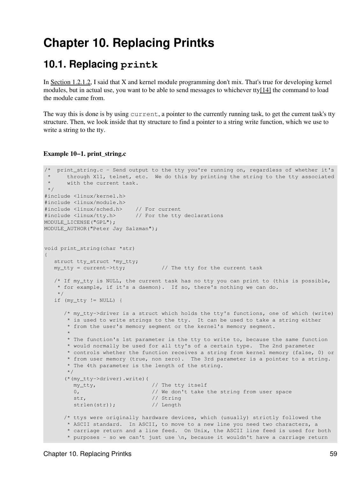# **Chapter 10. Replacing Printks**

### **10.1. Replacing printk**

In [Section 1.2.1.2,](#page-5-0) I said that X and kernel module programming don't mix. That's true for developing kernel modules, but in actual use, you want to be able to send messages to whichever tty[14] the command to load the module came from.

The way this is done is by using current, a pointer to the currently running task, to get the current task's tty structure. Then, we look inside that tty structure to find a pointer to a string write function, which we use to write a string to the tty.

#### **Example 10−1. print\_string.c**

```
/* print_string.c − Send output to the tty you're running on, regardless of whether it's
 * through X11, telnet, etc. We do this by printing the string to the tty associated
     with the current task.
 */
#include <linux/kernel.h>
#include <linux/module.h>
#include <linux/sched.h> // For current
#include <linux/tty.h> // For the tty declarations
MODULE_LICENSE("GPL");
MODULE_AUTHOR("Peter Jay Salzman");
void print_string(char *str)
{
  struct tty_struct *my_tty;
   my_tty = current−>tty; // The tty for the current task
    /* If my_tty is NULL, the current task has no tty you can print to (this is possible,
    * for example, if it's a daemon). If so, there's nothing we can do.
    */
   if (my_tty := NULL) {
       /* my_tty−>driver is a struct which holds the tty's functions, one of which (write)
        * is used to write strings to the tty. It can be used to take a string either
       * from the user's memory segment or the kernel's memory segment.
\star * The function's 1st parameter is the tty to write to, because the same function
        * would normally be used for all tty's of a certain type. The 2nd parameter
        * controls whether the function receives a string from kernel memory (false, 0) or
        * from user memory (true, non zero). The 3rd parameter is a pointer to a string.
        * The 4th parameter is the length of the string.
       */
       (*(my_tty−>driver).write)(
         my_tty, // The tty itself
        0, 0. \sqrt{2} We don't take the string from user space
        str, \frac{1}{2} // String
        strlen(str)); // Length
       /* ttys were originally hardware devices, which (usually) strictly followed the
        * ASCII standard. In ASCII, to move to a new line you need two characters, a
        * carriage return and a line feed. On Unix, the ASCII line feed is used for both
        * purposes − so we can't just use \n, because it wouldn't have a carriage return
```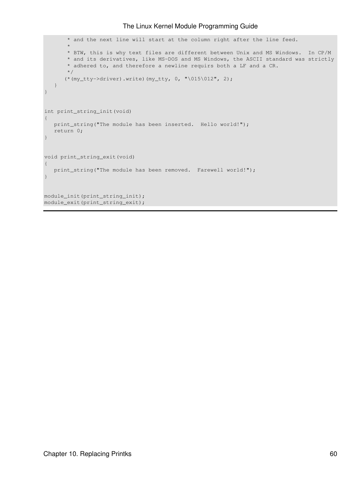```
 * and the next line will start at the column right after the line feed. 
\mathcal{A}^{\mathcal{A}} , and \mathcal{A}^{\mathcal{A}} * BTW, this is why text files are different between Unix and MS Windows. In CP/M
         * and its derivatives, like MS−DOS and MS Windows, the ASCII standard was strictly
         * adhered to, and therefore a newline requirs both a LF and a CR.
         */
        (*(my_tty−>driver).write)(my_tty, 0, "\015\012", 2);
    }
}
int print_string_init(void)
{
   print_string("The module has been inserted. Hello world!");
   return 0;
}
void print_string_exit(void)
{
    print_string("The module has been removed. Farewell world!");
} 
module_init(print_string_init);
module_exit(print_string_exit);
```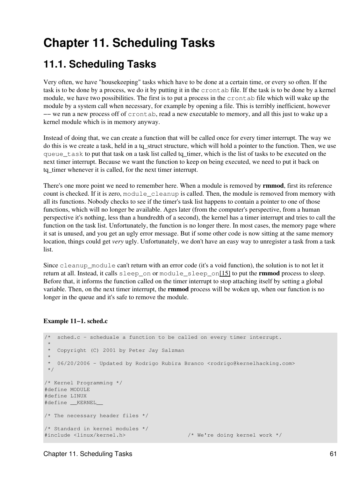# **Chapter 11. Scheduling Tasks**

## **11.1. Scheduling Tasks**

Very often, we have "housekeeping" tasks which have to be done at a certain time, or every so often. If the task is to be done by a process, we do it by putting it in the crontab file. If the task is to be done by a kernel module, we have two possibilities. The first is to put a process in the crontab file which will wake up the module by a system call when necessary, for example by opening a file. This is terribly inefficient, however −− we run a new process off of crontab, read a new executable to memory, and all this just to wake up a kernel module which is in memory anyway.

Instead of doing that, we can create a function that will be called once for every timer interrupt. The way we do this is we create a task, held in a tq\_struct structure, which will hold a pointer to the function. Then, we use queue task to put that task on a task list called tq timer, which is the list of tasks to be executed on the next timer interrupt. Because we want the function to keep on being executed, we need to put it back on tq\_timer whenever it is called, for the next timer interrupt.

There's one more point we need to remember here. When a module is removed by **rmmod**, first its reference count is checked. If it is zero, module\_cleanup is called. Then, the module is removed from memory with all its functions. Nobody checks to see if the timer's task list happens to contain a pointer to one of those functions, which will no longer be available. Ages later (from the computer's perspective, from a human perspective it's nothing, less than a hundredth of a second), the kernel has a timer interrupt and tries to call the function on the task list. Unfortunately, the function is no longer there. In most cases, the memory page where it sat is unused, and you get an ugly error message. But if some other code is now sitting at the same memory location, things could get *very* ugly. Unfortunately, we don't have an easy way to unregister a task from a task list.

Since cleanup\_module can't return with an error code (it's a void function), the solution is to not let it return at all. Instead, it calls sleep\_on or module\_sleep\_on[15] to put the **rmmod** process to sleep. Before that, it informs the function called on the timer interrupt to stop attaching itself by setting a global variable. Then, on the next timer interrupt, the **rmmod** process will be woken up, when our function is no longer in the queue and it's safe to remove the module.

### **Example 11−1. sched.c**

```
/* sched.c − scheduale a function to be called on every timer interrupt.
 *
   Copyright (C) 2001 by Peter Jay Salzman
 *
 * 06/20/2006 − Updated by Rodrigo Rubira Branco <rodrigo@kernelhacking.com>
 */
/* Kernel Programming */
#define MODULE
#define LINUX
#define __KERNEL__
/* The necessary header files */
/* Standard in kernel modules */
#include <linux/kernel.h> /* We're doing kernel work */
```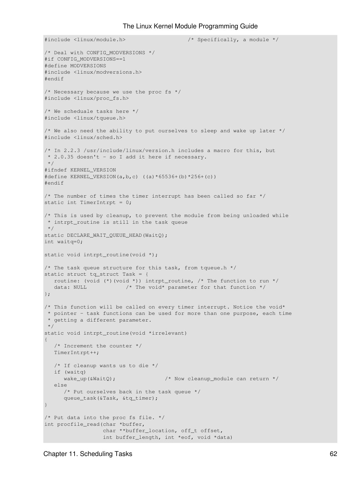```
#include <linux/module.h> /* Specifically, a module */
/* Deal with CONFIG_MODVERSIONS */
#if CONFIG MODVERSIONS==1
#define MODVERSIONS
#include <linux/modversions.h>
#endif 
\frac{1}{x} Necessary because we use the proc fs */
#include <linux/proc_fs.h>
/* We scheduale tasks here */
#include <linux/tqueue.h>
/* We also need the ability to put ourselves to sleep and wake up later */
#include <linux/sched.h>
/* In 2.2.3 /usr/include/linux/version.h includes a macro for this, but
 * 2.0.35 doesn't − so I add it here if necessary.
 */
#ifndef KERNEL_VERSION
#define KERNEL_VERSION(a,b,c) ((a)*65536+(b)*256+(c))
#endif
/* The number of times the timer interrupt has been called so far */static int TimerIntrpt = 0;
/* This is used by cleanup, to prevent the module from being unloaded while
 * intrpt_routine is still in the task queue
\star /
static DECLARE_WAIT_QUEUE_HEAD(WaitQ);
int waitq=0;
static void intrpt_routine(void *);
/* The task queue structure for this task, from tqueue.h */
static struct tq_struct Task = {
  routine: (void (*) (void *)) intrpt_routine, /* The function to run */
  data: NULL \frac{1}{2} /* The void* parameter for that function */
};
/* This function will be called on every timer interrupt. Notice the void*
 * pointer − task functions can be used for more than one purpose, each time 
 * getting a different parameter.
 */
static void intrpt_routine(void *irrelevant)
{
   /* Increment the counter */
   TimerIntrpt++;
   /* If cleanup wants us to die */
   if (waitq) 
      wake_up(&WaitQ); \qquad \qquad /* Now cleanup_module can return */
    else
      /* Put ourselves back in the task queue */
       queue_task(&Task, &tq_timer); 
}
/* Put data into the proc fs file. */
int procfile_read(char *buffer, 
                   char **buffer_location, off_t offset, 
                   int buffer_length, int *eof, void *data)
```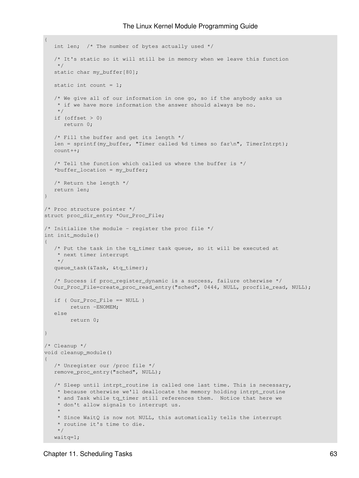```
{
   int len; /* The number of bytes actually used */ /* It's static so it will still be in memory when we leave this function
     */
    static char my_buffer[80]; 
   static int count = 1;
    /* We give all of our information in one go, so if the anybody asks us
    * if we have more information the answer should always be no.
     */
   if (offset > 0)
       return 0;
    /* Fill the buffer and get its length */
    len = sprintf(my_buffer, "Timer called %d times so far\n", TimerIntrpt);
    count++;
   /* Tell the function which called us where the buffer is */ *buffer_location = my_buffer;
    /* Return the length */
   return len;
}
/* Proc structure pointer */
struct proc_dir_entry *Our_Proc_File;
/* Initialize the module − register the proc file */
int init_module()
\left\{ \right. /* Put the task in the tq_timer task queue, so it will be executed at
     * next timer interrupt
    */
   queue_task(&Task, &tq_timer);
    /* Success if proc_register_dynamic is a success, failure otherwise */
   Our_Proc_File=create_proc_read_entry("sched", 0444, NULL, procfile_read, NULL);
   if ( Our_Proc_File == NULL )
        return −ENOMEM;
    else
        return 0;
}
/* Cleanup */
void cleanup_module()
{
   /* Unregister our /proc file */
   remove_proc_entry("sched", NULL);
    /* Sleep until intrpt_routine is called one last time. This is necessary,
     * because otherwise we'll deallocate the memory holding intrpt_routine
     * and Task while tq_timer still references them. Notice that here we
     * don't allow signals to interrupt us. 
\star * Since WaitQ is now not NULL, this automatically tells the interrupt
     * routine it's time to die.
     */
    waitq=1;
```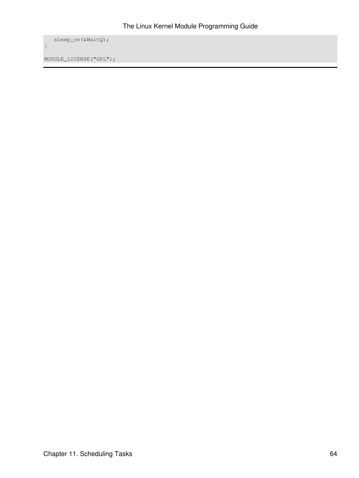```
 sleep_on(&WaitQ);
}
```
MODULE\_LICENSE("GPL");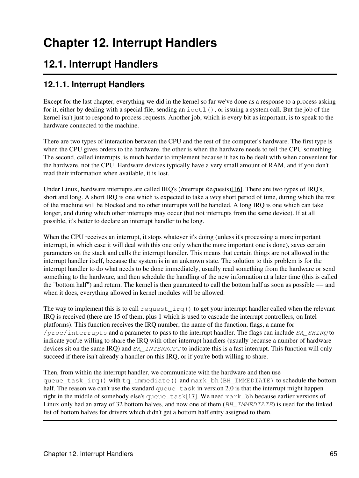# **Chapter 12. Interrupt Handlers**

## **12.1. Interrupt Handlers**

### **12.1.1. Interrupt Handlers**

Except for the last chapter, everything we did in the kernel so far we've done as a response to a process asking for it, either by dealing with a special file, sending an  $i$  octl(), or issuing a system call. But the job of the kernel isn't just to respond to process requests. Another job, which is every bit as important, is to speak to the hardware connected to the machine.

There are two types of interaction between the CPU and the rest of the computer's hardware. The first type is when the CPU gives orders to the hardware, the other is when the hardware needs to tell the CPU something. The second, called interrupts, is much harder to implement because it has to be dealt with when convenient for the hardware, not the CPU. Hardware devices typically have a very small amount of RAM, and if you don't read their information when available, it is lost.

Under Linux, hardware interrupts are called IRQ's (*I*nterrupt *R*e*q*uests)[16]. There are two types of IRQ's, short and long. A short IRQ is one which is expected to take a *very* short period of time, during which the rest of the machine will be blocked and no other interrupts will be handled. A long IRQ is one which can take longer, and during which other interrupts may occur (but not interrupts from the same device). If at all possible, it's better to declare an interrupt handler to be long.

When the CPU receives an interrupt, it stops whatever it's doing (unless it's processing a more important interrupt, in which case it will deal with this one only when the more important one is done), saves certain parameters on the stack and calls the interrupt handler. This means that certain things are not allowed in the interrupt handler itself, because the system is in an unknown state. The solution to this problem is for the interrupt handler to do what needs to be done immediately, usually read something from the hardware or send something to the hardware, and then schedule the handling of the new information at a later time (this is called the "bottom half") and return. The kernel is then guaranteed to call the bottom half as soon as possible −− and when it does, everything allowed in kernel modules will be allowed.

The way to implement this is to call request\_irq() to get your interrupt handler called when the relevant IRQ is received (there are 15 of them, plus 1 which is used to cascade the interrupt controllers, on Intel platforms). This function receives the IRQ number, the name of the function, flags, a name for /proc/interrupts and a parameter to pass to the interrupt handler. The flags can include *SA\_SHIRQ* to indicate you're willing to share the IRQ with other interrupt handlers (usually because a number of hardware devices sit on the same IRQ) and *SA\_INTERRUPT* to indicate this is a fast interrupt. This function will only succeed if there isn't already a handler on this IRQ, or if you're both willing to share.

Then, from within the interrupt handler, we communicate with the hardware and then use queue task  $irq()$  with tq immediate() and mark bh(BH\_IMMEDIATE) to schedule the bottom half. The reason we can't use the standard queue\_task in version 2.0 is that the interrupt might happen right in the middle of somebody else's queue  $\text{task}[17]$ . We need mark bh because earlier versions of Linux only had an array of 32 bottom halves, and now one of them (*BH\_IMMEDIATE*) is used for the linked list of bottom halves for drivers which didn't get a bottom half entry assigned to them.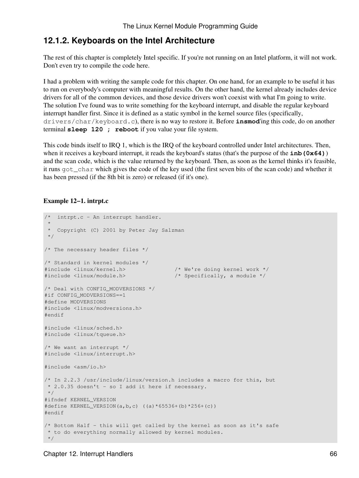### **12.1.2. Keyboards on the Intel Architecture**

The rest of this chapter is completely Intel specific. If you're not running on an Intel platform, it will not work. Don't even try to compile the code here.

I had a problem with writing the sample code for this chapter. On one hand, for an example to be useful it has to run on everybody's computer with meaningful results. On the other hand, the kernel already includes device drivers for all of the common devices, and those device drivers won't coexist with what I'm going to write. The solution I've found was to write something for the keyboard interrupt, and disable the regular keyboard interrupt handler first. Since it is defined as a static symbol in the kernel source files (specifically, drivers/char/keyboard.c), there is no way to restore it. Before **insmod**'ing this code, do on another terminal **sleep 120 ; reboot** if you value your file system.

This code binds itself to IRQ 1, which is the IRQ of the keyboard controlled under Intel architectures. Then, when it receives a keyboard interrupt, it reads the keyboard's status (that's the purpose of the **inb** (0x64)) and the scan code, which is the value returned by the keyboard. Then, as soon as the kernel thinks it's feasible, it runs got\_char which gives the code of the key used (the first seven bits of the scan code) and whether it has been pressed (if the 8th bit is zero) or released (if it's one).

#### **Example 12−1. intrpt.c**

```
/* intrpt.c − An interrupt handler.
 *
  * Copyright (C) 2001 by Peter Jay Salzman
  */
/* The necessary header files */
/* Standard in kernel modules */
#include <linux/kernel.h> /* We're doing kernel work */
#include <linux/module.h> /* Specifically, a module */
/* Deal with CONFIG_MODVERSIONS */
#if CONFIG_MODVERSIONS==1
#define MODVERSIONS
#include <linux/modversions.h>
#endif 
#include <linux/sched.h>
#include <linux/tqueue.h>
/* We want an interrupt */
#include <linux/interrupt.h>
#include <asm/io.h>
/* In 2.2.3 /usr/include/linux/version.h includes a macro for this, but
 * 2.0.35 doesn't − so I add it here if necessary.
 */
#ifndef KERNEL_VERSION
#define KERNEL VERSION(a,b,c) ((a)*65536+(b)*256+(c))#endif
/* Bottom Half − this will get called by the kernel as soon as it's safe
 * to do everything normally allowed by kernel modules.
  */
```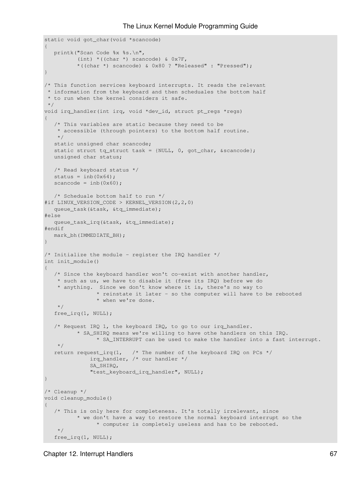```
static void got_char(void *scancode)
{
   printk("Scan Code %x %s.\n",
          (int) *((char *) scancode) & 0x7F,
           *((char *) scancode) & 0x80 ? "Released" : "Pressed");
}
/* This function services keyboard interrupts. It reads the relevant
  * information from the keyboard and then scheduales the bottom half
  * to run when the kernel considers it safe.
  */
void irq_handler(int irq, void *dev_id, struct pt_regs *regs)
{
    /* This variables are static because they need to be 
     * accessible (through pointers) to the bottom half routine.
     */
    static unsigned char scancode;
   static struct tq_struct task = {NULL, 0, got_char, &scancode};
   unsigned char status;
   /* Read keyboard status */
  status = inb(0x64);
  scancode = inb(0x60);
   /* Scheduale bottom half to run */
#if LINUX_VERSION_CODE > KERNEL_VERSION(2,2,0)
  queue_task(&task, &tq_immediate);
#else
   queue_task_irq(&task, &tq_immediate);
#endif
   mark_bh(IMMEDIATE_BH);
}
/* Initialize the module − register the IRQ handler */
int init_module()
{
    /* Since the keyboard handler won't co−exist with another handler,
     * such as us, we have to disable it (free its IRQ) before we do
     * anything. Since we don't know where it is, there's no way to
                 * reinstate it later − so the computer will have to be rebooted
                 * when we're done.
     */
    free_irq(1, NULL);
   /* Request IRQ 1, the keyboard IRQ, to go to our irq handler.
           * SA_SHIRQ means we're willing to have othe handlers on this IRQ.
                 * SA_INTERRUPT can be used to make the handler into a fast interrupt. 
     */
   return request_irq(1, \gamma* The number of the keyboard IRQ on PCs */
               irq_handler, /* our handler */
               SA_SHIRQ, 
               "test_keyboard_irq_handler", NULL);
}
/* Cleanup */
void cleanup_module()
{
    /* This is only here for completeness. It's totally irrelevant, since
           * we don't have a way to restore the normal keyboard interrupt so the
                 * computer is completely useless and has to be rebooted.
     */
    free_irq(1, NULL);
```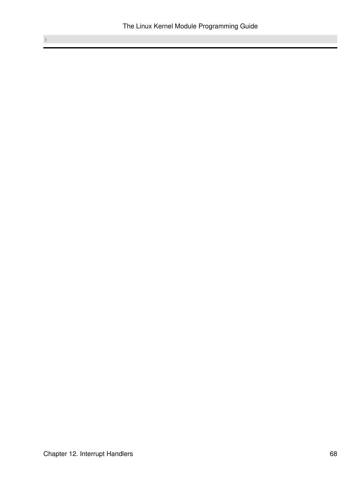Chapter 12. Interrupt Handlers 68

}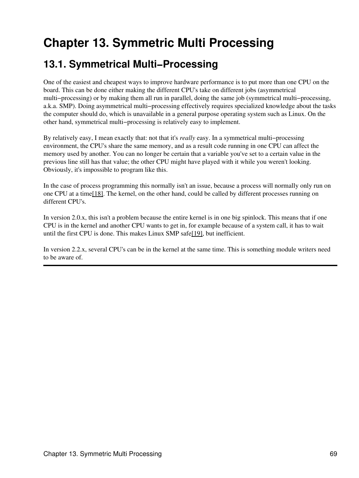# **Chapter 13. Symmetric Multi Processing**

## **13.1. Symmetrical Multi−Processing**

One of the easiest and cheapest ways to improve hardware performance is to put more than one CPU on the board. This can be done either making the different CPU's take on different jobs (asymmetrical multi−processing) or by making them all run in parallel, doing the same job (symmetrical multi−processing, a.k.a. SMP). Doing asymmetrical multi−processing effectively requires specialized knowledge about the tasks the computer should do, which is unavailable in a general purpose operating system such as Linux. On the other hand, symmetrical multi−processing is relatively easy to implement.

By relatively easy, I mean exactly that: not that it's *really* easy. In a symmetrical multi−processing environment, the CPU's share the same memory, and as a result code running in one CPU can affect the memory used by another. You can no longer be certain that a variable you've set to a certain value in the previous line still has that value; the other CPU might have played with it while you weren't looking. Obviously, it's impossible to program like this.

In the case of process programming this normally isn't an issue, because a process will normally only run on one CPU at a time[18]. The kernel, on the other hand, could be called by different processes running on different CPU's.

In version 2.0.x, this isn't a problem because the entire kernel is in one big spinlock. This means that if one CPU is in the kernel and another CPU wants to get in, for example because of a system call, it has to wait until the first CPU is done. This makes Linux SMP safe[19], but inefficient.

In version 2.2.x, several CPU's can be in the kernel at the same time. This is something module writers need to be aware of.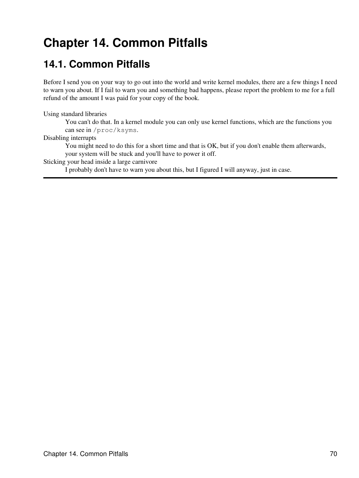## **Chapter 14. Common Pitfalls**

### **14.1. Common Pitfalls**

Before I send you on your way to go out into the world and write kernel modules, there are a few things I need to warn you about. If I fail to warn you and something bad happens, please report the problem to me for a full refund of the amount I was paid for your copy of the book.

Using standard libraries

You can't do that. In a kernel module you can only use kernel functions, which are the functions you can see in /proc/ksyms.

Disabling interrupts

You might need to do this for a short time and that is OK, but if you don't enable them afterwards, your system will be stuck and you'll have to power it off.

Sticking your head inside a large carnivore

I probably don't have to warn you about this, but I figured I will anyway, just in case.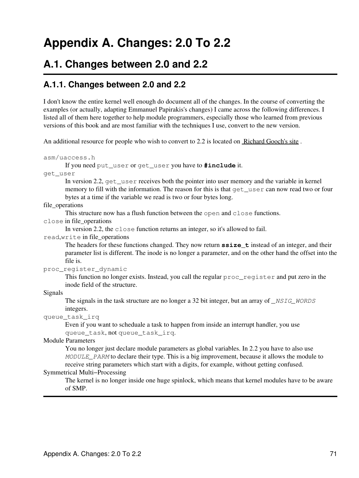## **Appendix A. Changes: 2.0 To 2.2**

### **A.1. Changes between 2.0 and 2.2**

### **A.1.1. Changes between 2.0 and 2.2**

I don't know the entire kernel well enough do document all of the changes. In the course of converting the examples (or actually, adapting Emmanuel Papirakis's changes) I came across the following differences. I listed all of them here together to help module programmers, especially those who learned from previous versions of this book and are most familiar with the techniques I use, convert to the new version.

An additional resource for people who wish to convert to 2.2 is located on [Richard Gooch's site](http://www.atnf.csiro.au/~rgooch/linux/docs/porting-to-2.2.html) .

```
asm/uaccess.h
```
If you need put\_user or get\_user you have to **#include** it.

get\_user

In version 2.2, get\_user receives both the pointer into user memory and the variable in kernel memory to fill with the information. The reason for this is that get\_user can now read two or four bytes at a time if the variable we read is two or four bytes long.

file\_operations

This structure now has a flush function between the open and close functions.

close in file\_operations

In version 2.2, the close function returns an integer, so it's allowed to fail.

read,write in file\_operations

The headers for these functions changed. They now return **ssize** t instead of an integer, and their parameter list is different. The inode is no longer a parameter, and on the other hand the offset into the file is.

#### proc\_register\_dynamic

This function no longer exists. Instead, you call the regular  $\text{proc}$  register and put zero in the inode field of the structure.

#### Signals

The signals in the task structure are no longer a 32 bit integer, but an array of *NSIG WORDS* integers.

#### queue task irq

Even if you want to scheduale a task to happen from inside an interrupt handler, you use queue task, not queue task irq.

#### Module Parameters

You no longer just declare module parameters as global variables. In 2.2 you have to also use *MODULE\_PARM* to declare their type. This is a big improvement, because it allows the module to receive string parameters which start with a digits, for example, without getting confused.

#### Symmetrical Multi−Processing

The kernel is no longer inside one huge spinlock, which means that kernel modules have to be aware of SMP.